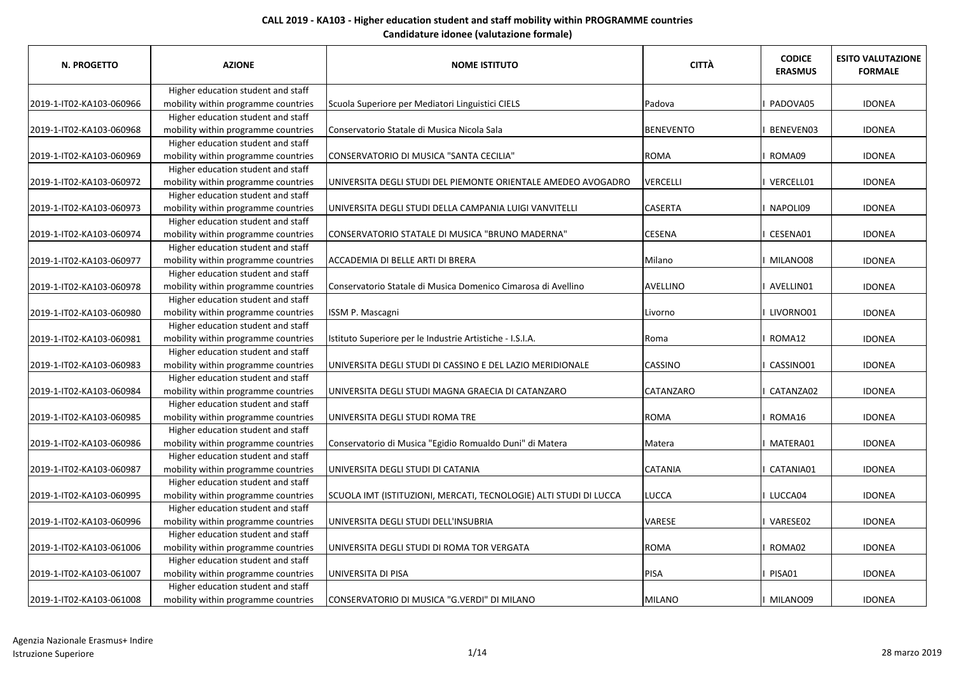| N. PROGETTO              | <b>AZIONE</b>                       | <b>NOME ISTITUTO</b>                                              | <b>CITTÀ</b>     | <b>CODICE</b><br><b>ERASMUS</b> | <b>ESITO VALUTAZIONE</b><br><b>FORMALE</b> |
|--------------------------|-------------------------------------|-------------------------------------------------------------------|------------------|---------------------------------|--------------------------------------------|
|                          | Higher education student and staff  |                                                                   |                  |                                 |                                            |
| 2019-1-IT02-KA103-060966 | mobility within programme countries | Scuola Superiore per Mediatori Linguistici CIELS                  | Padova           | PADOVA05                        | <b>IDONEA</b>                              |
|                          | Higher education student and staff  |                                                                   |                  |                                 |                                            |
| 2019-1-IT02-KA103-060968 | mobility within programme countries | Conservatorio Statale di Musica Nicola Sala                       | <b>BENEVENTO</b> | I BENEVEN03                     | <b>IDONEA</b>                              |
|                          | Higher education student and staff  |                                                                   |                  |                                 |                                            |
| 2019-1-IT02-KA103-060969 | mobility within programme countries | CONSERVATORIO DI MUSICA "SANTA CECILIA"                           | <b>ROMA</b>      | I ROMA09                        | <b>IDONEA</b>                              |
|                          | Higher education student and staff  |                                                                   |                  |                                 |                                            |
| 2019-1-IT02-KA103-060972 | mobility within programme countries | UNIVERSITA DEGLI STUDI DEL PIEMONTE ORIENTALE AMEDEO AVOGADRO     | VERCELLI         | I VERCELL01                     | <b>IDONEA</b>                              |
|                          | Higher education student and staff  |                                                                   |                  |                                 |                                            |
| 2019-1-IT02-KA103-060973 | mobility within programme countries | UNIVERSITA DEGLI STUDI DELLA CAMPANIA LUIGI VANVITELLI            | <b>CASERTA</b>   | I NAPOLI09                      | <b>IDONEA</b>                              |
|                          | Higher education student and staff  |                                                                   |                  |                                 |                                            |
| 2019-1-IT02-KA103-060974 | mobility within programme countries | CONSERVATORIO STATALE DI MUSICA "BRUNO MADERNA"                   | <b>CESENA</b>    | I CESENA01                      | <b>IDONEA</b>                              |
|                          | Higher education student and staff  |                                                                   |                  |                                 |                                            |
| 2019-1-IT02-KA103-060977 | mobility within programme countries | ACCADEMIA DI BELLE ARTI DI BRERA                                  | Milano           | I MILANO08                      | <b>IDONEA</b>                              |
|                          | Higher education student and staff  |                                                                   |                  |                                 |                                            |
| 2019-1-IT02-KA103-060978 | mobility within programme countries | Conservatorio Statale di Musica Domenico Cimarosa di Avellino     | AVELLINO         | I AVELLINO1                     | <b>IDONEA</b>                              |
|                          | Higher education student and staff  |                                                                   |                  |                                 |                                            |
| 2019-1-IT02-KA103-060980 | mobility within programme countries | ISSM P. Mascagni                                                  | Livorno          | I LIVORNO01                     | <b>IDONEA</b>                              |
|                          | Higher education student and staff  |                                                                   |                  |                                 |                                            |
| 2019-1-IT02-KA103-060981 | mobility within programme countries | Istituto Superiore per le Industrie Artistiche - I.S.I.A.         | Roma             | I ROMA12                        | <b>IDONEA</b>                              |
|                          | Higher education student and staff  |                                                                   |                  |                                 |                                            |
| 2019-1-IT02-KA103-060983 | mobility within programme countries | UNIVERSITA DEGLI STUDI DI CASSINO E DEL LAZIO MERIDIONALE         | <b>CASSINO</b>   | CASSINO01                       | <b>IDONEA</b>                              |
|                          | Higher education student and staff  |                                                                   |                  |                                 |                                            |
| 2019-1-IT02-KA103-060984 | mobility within programme countries | UNIVERSITA DEGLI STUDI MAGNA GRAECIA DI CATANZARO                 | <b>CATANZARO</b> | <b>CATANZA02</b>                | <b>IDONEA</b>                              |
|                          | Higher education student and staff  |                                                                   |                  |                                 |                                            |
| 2019-1-IT02-KA103-060985 | mobility within programme countries | UNIVERSITA DEGLI STUDI ROMA TRE                                   | <b>ROMA</b>      | I ROMA16                        | <b>IDONEA</b>                              |
|                          | Higher education student and staff  |                                                                   |                  |                                 |                                            |
| 2019-1-IT02-KA103-060986 | mobility within programme countries | Conservatorio di Musica "Egidio Romualdo Duni" di Matera          | Matera           | I MATERA01                      | <b>IDONEA</b>                              |
|                          | Higher education student and staff  |                                                                   |                  |                                 |                                            |
| 2019-1-IT02-KA103-060987 | mobility within programme countries | UNIVERSITA DEGLI STUDI DI CATANIA                                 | <b>CATANIA</b>   | CATANIA01                       | <b>IDONEA</b>                              |
|                          | Higher education student and staff  |                                                                   |                  |                                 |                                            |
| 2019-1-IT02-KA103-060995 | mobility within programme countries | SCUOLA IMT (ISTITUZIONI, MERCATI, TECNOLOGIE) ALTI STUDI DI LUCCA | LUCCA            | I LUCCA04                       | <b>IDONEA</b>                              |
|                          | Higher education student and staff  |                                                                   |                  |                                 |                                            |
| 2019-1-IT02-KA103-060996 | mobility within programme countries | UNIVERSITA DEGLI STUDI DELL'INSUBRIA                              | <b>VARESE</b>    | I VARESE02                      | <b>IDONEA</b>                              |
|                          | Higher education student and staff  |                                                                   |                  |                                 |                                            |
| 2019-1-IT02-KA103-061006 | mobility within programme countries | UNIVERSITA DEGLI STUDI DI ROMA TOR VERGATA                        | <b>ROMA</b>      | I ROMA02                        | <b>IDONEA</b>                              |
|                          | Higher education student and staff  |                                                                   |                  |                                 |                                            |
| 2019-1-IT02-KA103-061007 | mobility within programme countries | UNIVERSITA DI PISA                                                | PISA             | PISA01                          | <b>IDONEA</b>                              |
|                          | Higher education student and staff  |                                                                   |                  |                                 |                                            |
| 2019-1-IT02-KA103-061008 | mobility within programme countries | CONSERVATORIO DI MUSICA "G.VERDI" DI MILANO                       | MILANO           | I MILANO09                      | <b>IDONEA</b>                              |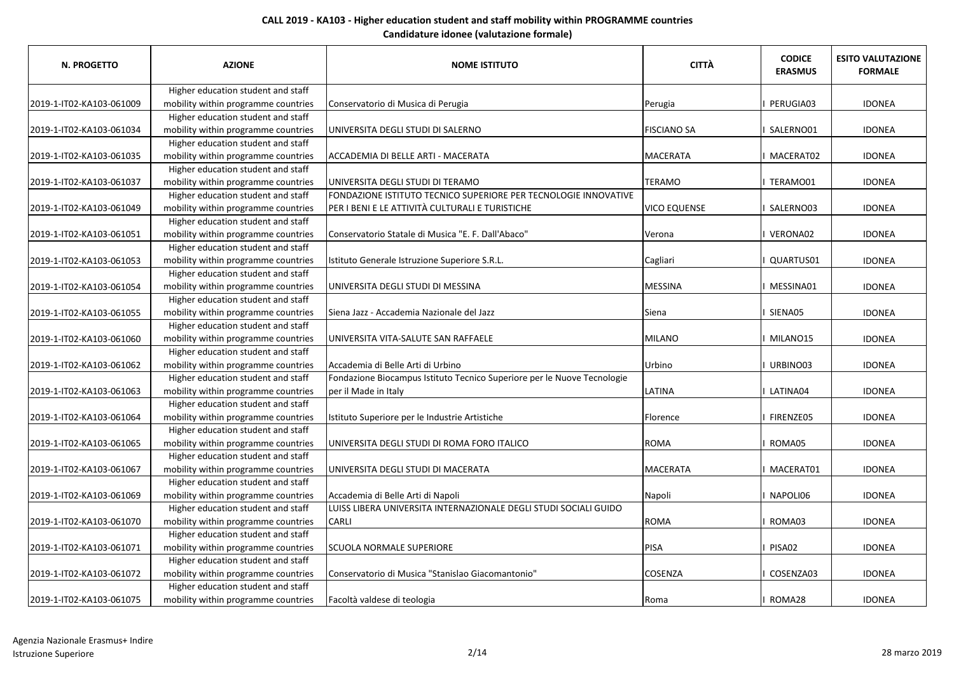| N. PROGETTO              | <b>AZIONE</b>                       | <b>NOME ISTITUTO</b>                                                    | <b>CITTÀ</b>        | <b>CODICE</b><br><b>ERASMUS</b> | <b>ESITO VALUTAZIONE</b><br><b>FORMALE</b> |
|--------------------------|-------------------------------------|-------------------------------------------------------------------------|---------------------|---------------------------------|--------------------------------------------|
|                          | Higher education student and staff  |                                                                         |                     |                                 |                                            |
| 2019-1-IT02-KA103-061009 | mobility within programme countries | Conservatorio di Musica di Perugia                                      | Perugia             | <b>PERUGIA03</b>                | <b>IDONEA</b>                              |
|                          | Higher education student and staff  |                                                                         |                     |                                 |                                            |
| 2019-1-IT02-KA103-061034 | mobility within programme countries | UNIVERSITA DEGLI STUDI DI SALERNO                                       | <b>FISCIANO SA</b>  | I SALERNO01                     | <b>IDONEA</b>                              |
|                          | Higher education student and staff  |                                                                         |                     |                                 |                                            |
| 2019-1-IT02-KA103-061035 | mobility within programme countries | ACCADEMIA DI BELLE ARTI - MACERATA                                      | <b>MACERATA</b>     | I MACERAT02                     | <b>IDONEA</b>                              |
|                          | Higher education student and staff  |                                                                         |                     |                                 |                                            |
| 2019-1-IT02-KA103-061037 | mobility within programme countries | JUNIVERSITA DEGLI STUDI DI TERAMO                                       | <b>TERAMO</b>       | I TERAMO01                      | <b>IDONEA</b>                              |
|                          | Higher education student and staff  | FONDAZIONE ISTITUTO TECNICO SUPERIORE PER TECNOLOGIE INNOVATIVE         |                     |                                 |                                            |
| 2019-1-IT02-KA103-061049 | mobility within programme countries | PER I BENI E LE ATTIVITÀ CULTURALI E TURISTICHE                         | <b>VICO EQUENSE</b> | I SALERNO03                     | <b>IDONEA</b>                              |
|                          | Higher education student and staff  |                                                                         |                     |                                 |                                            |
| 2019-1-IT02-KA103-061051 | mobility within programme countries | Conservatorio Statale di Musica "E. F. Dall'Abaco"                      | Verona              | I VERONA02                      | <b>IDONEA</b>                              |
|                          | Higher education student and staff  |                                                                         |                     |                                 |                                            |
| 2019-1-IT02-KA103-061053 | mobility within programme countries | Istituto Generale Istruzione Superiore S.R.L.                           | Cagliari            | QUARTUS01                       | <b>IDONEA</b>                              |
|                          | Higher education student and staff  |                                                                         |                     |                                 |                                            |
| 2019-1-IT02-KA103-061054 | mobility within programme countries | UNIVERSITA DEGLI STUDI DI MESSINA                                       | <b>MESSINA</b>      | I MESSINA01                     | <b>IDONEA</b>                              |
|                          | Higher education student and staff  |                                                                         |                     |                                 |                                            |
| 2019-1-IT02-KA103-061055 | mobility within programme countries | Siena Jazz - Accademia Nazionale del Jazz                               | Siena               | I SIENA05                       | <b>IDONEA</b>                              |
|                          | Higher education student and staff  |                                                                         |                     |                                 |                                            |
| 2019-1-IT02-KA103-061060 | mobility within programme countries | UNIVERSITA VITA-SALUTE SAN RAFFAELE                                     | MILANO              | I MILANO15                      | <b>IDONEA</b>                              |
|                          | Higher education student and staff  |                                                                         |                     |                                 |                                            |
| 2019-1-IT02-KA103-061062 | mobility within programme countries | Accademia di Belle Arti di Urbino                                       | Urbino              | I URBINO03                      | <b>IDONEA</b>                              |
|                          | Higher education student and staff  | Fondazione Biocampus Istituto Tecnico Superiore per le Nuove Tecnologie |                     |                                 |                                            |
| 2019-1-IT02-KA103-061063 | mobility within programme countries | per il Made in Italy                                                    | <b>LATINA</b>       | I LATINA04                      | <b>IDONEA</b>                              |
|                          | Higher education student and staff  |                                                                         |                     |                                 |                                            |
| 2019-1-IT02-KA103-061064 | mobility within programme countries | Istituto Superiore per le Industrie Artistiche                          | Florence            | I FIRENZE05                     | <b>IDONEA</b>                              |
|                          | Higher education student and staff  |                                                                         |                     |                                 |                                            |
| 2019-1-IT02-KA103-061065 | mobility within programme countries | JUNIVERSITA DEGLI STUDI DI ROMA FORO ITALICO                            | <b>ROMA</b>         | I ROMA05                        | <b>IDONEA</b>                              |
|                          | Higher education student and staff  |                                                                         |                     |                                 |                                            |
| 2019-1-IT02-KA103-061067 | mobility within programme countries | UNIVERSITA DEGLI STUDI DI MACERATA                                      | <b>MACERATA</b>     | I MACERAT01                     | <b>IDONEA</b>                              |
|                          | Higher education student and staff  |                                                                         |                     |                                 |                                            |
| 2019-1-IT02-KA103-061069 | mobility within programme countries | Accademia di Belle Arti di Napoli                                       | Napoli              | I NAPOLI06                      | <b>IDONEA</b>                              |
|                          | Higher education student and staff  | LUISS LIBERA UNIVERSITA INTERNAZIONALE DEGLI STUDI SOCIALI GUIDO        |                     |                                 |                                            |
| 2019-1-IT02-KA103-061070 | mobility within programme countries | <b>CARLI</b>                                                            | <b>ROMA</b>         | I ROMA03                        | <b>IDONEA</b>                              |
|                          | Higher education student and staff  |                                                                         |                     |                                 |                                            |
| 2019-1-IT02-KA103-061071 | mobility within programme countries | <b>SCUOLA NORMALE SUPERIORE</b>                                         | PISA                | I PISA02                        | <b>IDONEA</b>                              |
|                          | Higher education student and staff  |                                                                         |                     |                                 |                                            |
| 2019-1-IT02-KA103-061072 | mobility within programme countries | Conservatorio di Musica "Stanislao Giacomantonio"                       | <b>COSENZA</b>      | COSENZA03                       | <b>IDONEA</b>                              |
|                          | Higher education student and staff  |                                                                         |                     |                                 |                                            |
| 2019-1-IT02-KA103-061075 | mobility within programme countries | Facoltà valdese di teologia                                             | Roma                | I ROMA28                        | <b>IDONEA</b>                              |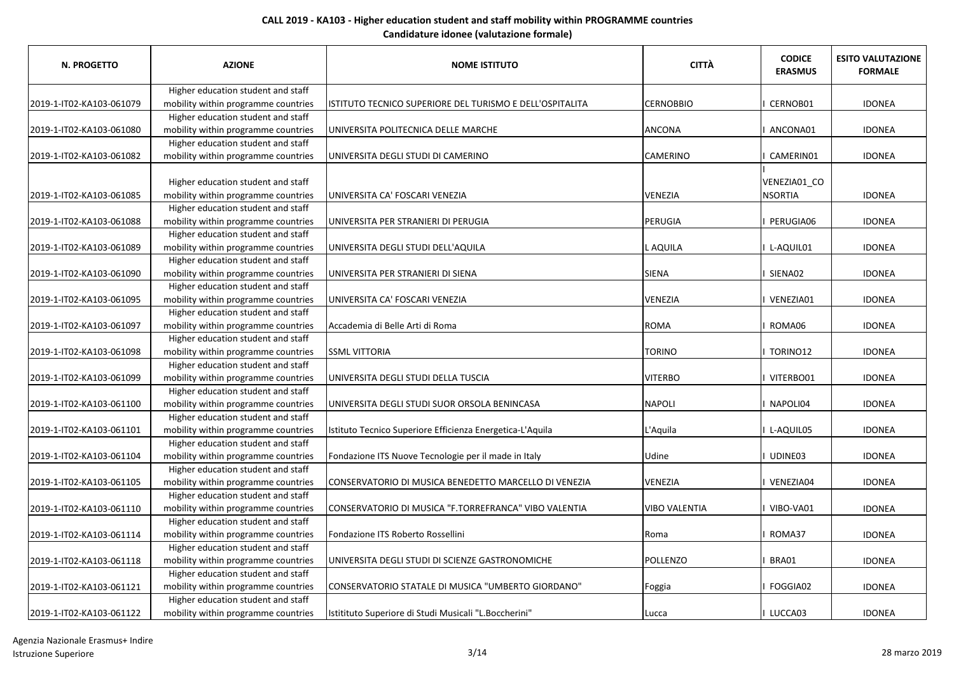| N. PROGETTO              | <b>AZIONE</b>                                                             | <b>NOME ISTITUTO</b>                                      | <b>CITTÀ</b>         | <b>CODICE</b><br><b>ERASMUS</b> | <b>ESITO VALUTAZIONE</b><br><b>FORMALE</b> |
|--------------------------|---------------------------------------------------------------------------|-----------------------------------------------------------|----------------------|---------------------------------|--------------------------------------------|
|                          | Higher education student and staff                                        |                                                           |                      |                                 |                                            |
| 2019-1-IT02-KA103-061079 | mobility within programme countries                                       | ISTITUTO TECNICO SUPERIORE DEL TURISMO E DELL'OSPITALITA  | <b>CERNOBBIO</b>     | CERNOB01                        | <b>IDONEA</b>                              |
|                          | Higher education student and staff                                        |                                                           |                      |                                 |                                            |
| 2019-1-IT02-KA103-061080 | mobility within programme countries                                       | UNIVERSITA POLITECNICA DELLE MARCHE                       | ANCONA               | ANCONA01                        | <b>IDONEA</b>                              |
|                          | Higher education student and staff                                        |                                                           |                      |                                 |                                            |
| 2019-1-IT02-KA103-061082 | mobility within programme countries                                       | UNIVERSITA DEGLI STUDI DI CAMERINO                        | <b>CAMERINO</b>      | CAMERIN01                       | <b>IDONEA</b>                              |
| 2019-1-IT02-KA103-061085 | Higher education student and staff<br>mobility within programme countries | UNIVERSITA CA' FOSCARI VENEZIA                            | <b>VENEZIA</b>       | VENEZIA01_CO<br><b>NSORTIA</b>  | <b>IDONEA</b>                              |
|                          | Higher education student and staff                                        |                                                           |                      |                                 |                                            |
| 2019-1-IT02-KA103-061088 | mobility within programme countries                                       | UNIVERSITA PER STRANIERI DI PERUGIA                       | PERUGIA              | PERUGIA06                       | <b>IDONEA</b>                              |
|                          | Higher education student and staff                                        |                                                           |                      |                                 |                                            |
| 2019-1-IT02-KA103-061089 | mobility within programme countries                                       | UNIVERSITA DEGLI STUDI DELL'AQUILA                        | L AQUILA             | L-AQUIL01                       | <b>IDONEA</b>                              |
|                          | Higher education student and staff                                        |                                                           |                      |                                 |                                            |
| 2019-1-IT02-KA103-061090 | mobility within programme countries                                       | UNIVERSITA PER STRANIERI DI SIENA                         | SIENA                | SIENA02                         | <b>IDONEA</b>                              |
|                          | Higher education student and staff                                        |                                                           |                      |                                 |                                            |
| 2019-1-IT02-KA103-061095 | mobility within programme countries                                       | UNIVERSITA CA' FOSCARI VENEZIA                            | VENEZIA              | I VENEZIA01                     | <b>IDONEA</b>                              |
|                          | Higher education student and staff                                        |                                                           |                      |                                 |                                            |
| 2019-1-IT02-KA103-061097 | mobility within programme countries                                       | Accademia di Belle Arti di Roma                           | ROMA                 | ROMA06                          | <b>IDONEA</b>                              |
|                          | Higher education student and staff                                        |                                                           |                      |                                 |                                            |
| 2019-1-IT02-KA103-061098 | mobility within programme countries                                       | <b>SSML VITTORIA</b>                                      | <b>TORINO</b>        | I TORINO12                      | <b>IDONEA</b>                              |
|                          | Higher education student and staff                                        |                                                           |                      |                                 |                                            |
| 2019-1-IT02-KA103-061099 | mobility within programme countries                                       | UNIVERSITA DEGLI STUDI DELLA TUSCIA                       | <b>VITERBO</b>       | VITERBO01                       | <b>IDONEA</b>                              |
|                          | Higher education student and staff                                        |                                                           |                      |                                 |                                            |
| 2019-1-IT02-KA103-061100 | mobility within programme countries                                       | UNIVERSITA DEGLI STUDI SUOR ORSOLA BENINCASA              | <b>NAPOLI</b>        | NAPOLI04                        | <b>IDONEA</b>                              |
|                          | Higher education student and staff                                        |                                                           |                      |                                 |                                            |
| 2019-1-IT02-KA103-061101 | mobility within programme countries                                       | Istituto Tecnico Superiore Efficienza Energetica-L'Aquila | L'Aquila             | L-AQUIL05                       | <b>IDONEA</b>                              |
|                          | Higher education student and staff                                        |                                                           |                      |                                 |                                            |
| 2019-1-IT02-KA103-061104 | mobility within programme countries                                       | Fondazione ITS Nuove Tecnologie per il made in Italy      | Udine                | UDINE03                         | <b>IDONEA</b>                              |
|                          | Higher education student and staff                                        |                                                           |                      |                                 |                                            |
| 2019-1-IT02-KA103-061105 | mobility within programme countries                                       | CONSERVATORIO DI MUSICA BENEDETTO MARCELLO DI VENEZIA     | <b>VENEZIA</b>       | I VENEZIA04                     | <b>IDONEA</b>                              |
|                          | Higher education student and staff                                        |                                                           |                      |                                 |                                            |
| 2019-1-IT02-KA103-061110 | mobility within programme countries                                       | CONSERVATORIO DI MUSICA "F.TORREFRANCA" VIBO VALENTIA     | <b>VIBO VALENTIA</b> | VIBO-VA01                       | <b>IDONEA</b>                              |
|                          | Higher education student and staff                                        |                                                           |                      |                                 |                                            |
| 2019-1-IT02-KA103-061114 | mobility within programme countries                                       | Fondazione ITS Roberto Rossellini                         | Roma                 | ROMA37                          | <b>IDONEA</b>                              |
|                          | Higher education student and staff                                        |                                                           |                      |                                 |                                            |
| 2019-1-IT02-KA103-061118 | mobility within programme countries                                       | UNIVERSITA DEGLI STUDI DI SCIENZE GASTRONOMICHE           | POLLENZO             | BRA01                           | <b>IDONEA</b>                              |
|                          | Higher education student and staff                                        |                                                           |                      |                                 |                                            |
| 2019-1-IT02-KA103-061121 | mobility within programme countries                                       | CONSERVATORIO STATALE DI MUSICA "UMBERTO GIORDANO"        | Foggia               | FOGGIA02                        | <b>IDONEA</b>                              |
|                          | Higher education student and staff                                        |                                                           |                      |                                 |                                            |
| 2019-1-IT02-KA103-061122 | mobility within programme countries                                       | Istitituto Superiore di Studi Musicali "L.Boccherini"     | Lucca                | LUCCA03                         | <b>IDONEA</b>                              |

Agenzia Nazionale Erasmus+ Indire Istruzione Superiore 3/14 28 marzo 2019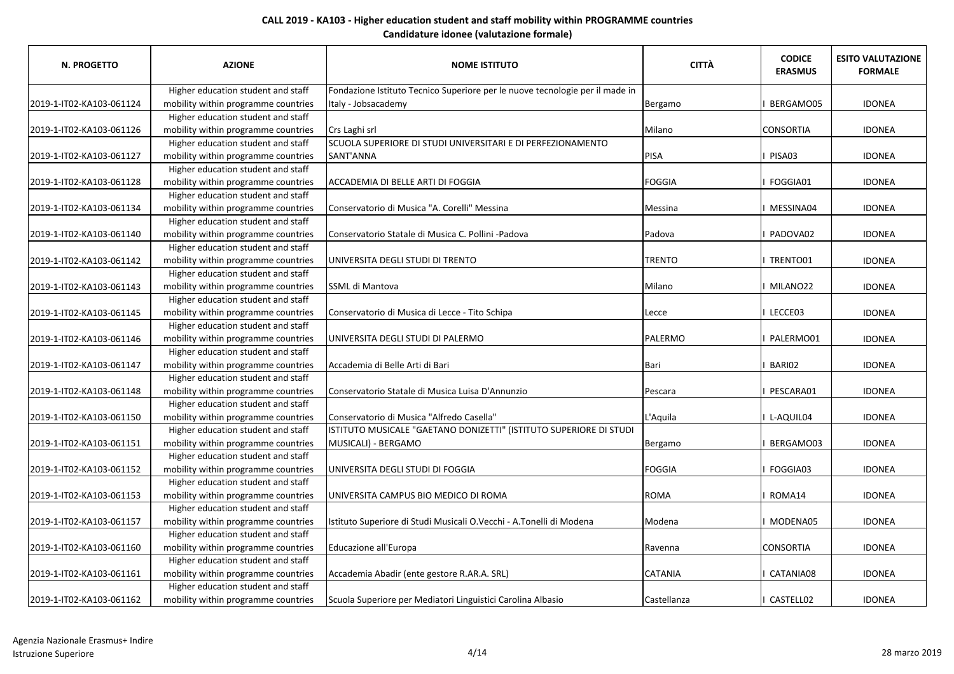| N. PROGETTO              | <b>AZIONE</b>                       | <b>NOME ISTITUTO</b>                                                         | <b>CITTÀ</b>   | <b>CODICE</b><br><b>ERASMUS</b> | <b>ESITO VALUTAZIONE</b><br><b>FORMALE</b> |
|--------------------------|-------------------------------------|------------------------------------------------------------------------------|----------------|---------------------------------|--------------------------------------------|
|                          | Higher education student and staff  | Fondazione Istituto Tecnico Superiore per le nuove tecnologie per il made in |                |                                 |                                            |
| 2019-1-IT02-KA103-061124 | mobility within programme countries | Italy - Jobsacademy                                                          | Bergamo        | BERGAMO05                       | <b>IDONEA</b>                              |
|                          | Higher education student and staff  |                                                                              |                |                                 |                                            |
| 2019-1-IT02-KA103-061126 | mobility within programme countries | Crs Laghi srl                                                                | Milano         | <b>CONSORTIA</b>                | <b>IDONEA</b>                              |
|                          | Higher education student and staff  | SCUOLA SUPERIORE DI STUDI UNIVERSITARI E DI PERFEZIONAMENTO                  |                |                                 |                                            |
| 2019-1-IT02-KA103-061127 | mobility within programme countries | SANT'ANNA                                                                    | PISA           | PISA03                          | <b>IDONEA</b>                              |
|                          | Higher education student and staff  |                                                                              |                |                                 |                                            |
| 2019-1-IT02-KA103-061128 | mobility within programme countries | ACCADEMIA DI BELLE ARTI DI FOGGIA                                            | <b>FOGGIA</b>  | I FOGGIA01                      | <b>IDONEA</b>                              |
|                          | Higher education student and staff  |                                                                              |                |                                 |                                            |
| 2019-1-IT02-KA103-061134 | mobility within programme countries | Conservatorio di Musica "A. Corelli" Messina                                 | Messina        | I MESSINA04                     | <b>IDONEA</b>                              |
|                          | Higher education student and staff  |                                                                              |                |                                 |                                            |
| 2019-1-IT02-KA103-061140 | mobility within programme countries | Conservatorio Statale di Musica C. Pollini -Padova                           | Padova         | I PADOVA02                      | <b>IDONEA</b>                              |
|                          | Higher education student and staff  |                                                                              |                |                                 |                                            |
| 2019-1-IT02-KA103-061142 | mobility within programme countries | UNIVERSITA DEGLI STUDI DI TRENTO                                             | <b>TRENTO</b>  | I TRENTO01                      | <b>IDONEA</b>                              |
|                          | Higher education student and staff  |                                                                              |                |                                 |                                            |
| 2019-1-IT02-KA103-061143 | mobility within programme countries | SSML di Mantova                                                              | Milano         | I MILANO22                      | <b>IDONEA</b>                              |
|                          | Higher education student and staff  |                                                                              |                |                                 |                                            |
| 2019-1-IT02-KA103-061145 | mobility within programme countries | Conservatorio di Musica di Lecce - Tito Schipa                               | Lecce          | I LECCE03                       | <b>IDONEA</b>                              |
|                          | Higher education student and staff  |                                                                              |                |                                 |                                            |
| 2019-1-IT02-KA103-061146 | mobility within programme countries | UNIVERSITA DEGLI STUDI DI PALERMO                                            | PALERMO        | I PALERMO01                     | <b>IDONEA</b>                              |
|                          | Higher education student and staff  |                                                                              |                |                                 |                                            |
| 2019-1-IT02-KA103-061147 | mobility within programme countries | Accademia di Belle Arti di Bari                                              | Bari           | BARI02                          | <b>IDONEA</b>                              |
|                          | Higher education student and staff  |                                                                              |                |                                 |                                            |
| 2019-1-IT02-KA103-061148 | mobility within programme countries | Conservatorio Statale di Musica Luisa D'Annunzio                             | Pescara        | PESCARA01                       | <b>IDONEA</b>                              |
|                          | Higher education student and staff  |                                                                              |                |                                 |                                            |
| 2019-1-IT02-KA103-061150 | mobility within programme countries | Conservatorio di Musica "Alfredo Casella"                                    | L'Aquila       | I L-AQUIL04                     | <b>IDONEA</b>                              |
|                          | Higher education student and staff  | ISTITUTO MUSICALE "GAETANO DONIZETTI" (ISTITUTO SUPERIORE DI STUDI           |                |                                 |                                            |
| 2019-1-IT02-KA103-061151 | mobility within programme countries | MUSICALI) - BERGAMO                                                          | Bergamo        | BERGAMO03                       | <b>IDONEA</b>                              |
|                          | Higher education student and staff  |                                                                              |                |                                 |                                            |
| 2019-1-IT02-KA103-061152 | mobility within programme countries | UNIVERSITA DEGLI STUDI DI FOGGIA                                             | <b>FOGGIA</b>  | I FOGGIA03                      | <b>IDONEA</b>                              |
|                          | Higher education student and staff  |                                                                              |                |                                 |                                            |
| 2019-1-IT02-KA103-061153 | mobility within programme countries | UNIVERSITA CAMPUS BIO MEDICO DI ROMA                                         | <b>ROMA</b>    | I ROMA14                        | <b>IDONEA</b>                              |
|                          | Higher education student and staff  |                                                                              |                |                                 |                                            |
| 2019-1-IT02-KA103-061157 | mobility within programme countries | Istituto Superiore di Studi Musicali O.Vecchi - A.Tonelli di Modena          | Modena         | I MODENA05                      | <b>IDONEA</b>                              |
|                          | Higher education student and staff  |                                                                              |                |                                 |                                            |
| 2019-1-IT02-KA103-061160 | mobility within programme countries | Educazione all'Europa                                                        | Ravenna        | <b>CONSORTIA</b>                | <b>IDONEA</b>                              |
|                          | Higher education student and staff  |                                                                              |                |                                 |                                            |
| 2019-1-IT02-KA103-061161 | mobility within programme countries | Accademia Abadir (ente gestore R.AR.A. SRL)                                  | <b>CATANIA</b> | CATANIA08                       | <b>IDONEA</b>                              |
|                          | Higher education student and staff  |                                                                              |                |                                 |                                            |
| 2019-1-IT02-KA103-061162 | mobility within programme countries | Scuola Superiore per Mediatori Linguistici Carolina Albasio                  | Castellanza    | CASTELL02                       | <b>IDONEA</b>                              |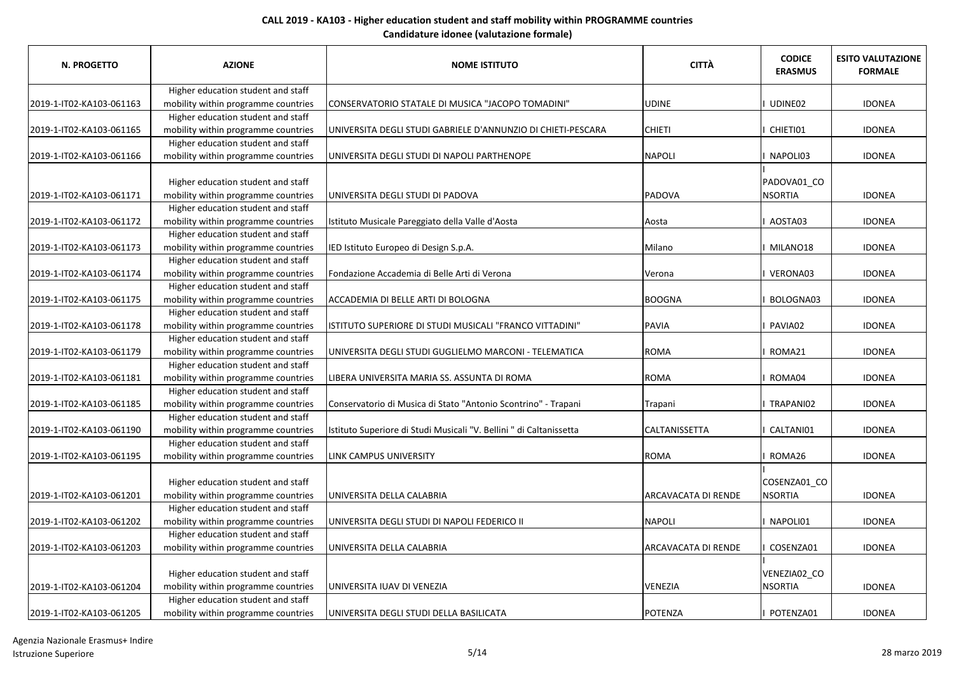| <b>N. PROGETTO</b>       | <b>AZIONE</b>                                                             | <b>NOME ISTITUTO</b>                                                | <b>CITTÀ</b>               | <b>CODICE</b><br><b>ERASMUS</b> | <b>ESITO VALUTAZIONE</b><br><b>FORMALE</b> |
|--------------------------|---------------------------------------------------------------------------|---------------------------------------------------------------------|----------------------------|---------------------------------|--------------------------------------------|
|                          | Higher education student and staff                                        |                                                                     |                            |                                 |                                            |
| 2019-1-IT02-KA103-061163 | mobility within programme countries                                       | CONSERVATORIO STATALE DI MUSICA "JACOPO TOMADINI"                   | <b>UDINE</b>               | UDINE02                         | <b>IDONEA</b>                              |
|                          | Higher education student and staff                                        |                                                                     |                            |                                 |                                            |
| 2019-1-IT02-KA103-061165 | mobility within programme countries                                       | UNIVERSITA DEGLI STUDI GABRIELE D'ANNUNZIO DI CHIETI-PESCARA        | <b>CHIETI</b>              | CHIETI01                        | <b>IDONEA</b>                              |
|                          | Higher education student and staff                                        |                                                                     |                            |                                 |                                            |
| 2019-1-IT02-KA103-061166 | mobility within programme countries                                       | UNIVERSITA DEGLI STUDI DI NAPOLI PARTHENOPE                         | <b>NAPOLI</b>              | NAPOLI03                        | <b>IDONEA</b>                              |
| 2019-1-IT02-KA103-061171 | Higher education student and staff<br>mobility within programme countries | UNIVERSITA DEGLI STUDI DI PADOVA                                    | <b>PADOVA</b>              | PADOVA01_CO<br><b>NSORTIA</b>   | <b>IDONEA</b>                              |
|                          | Higher education student and staff                                        |                                                                     |                            |                                 |                                            |
| 2019-1-IT02-KA103-061172 | mobility within programme countries                                       | Istituto Musicale Pareggiato della Valle d'Aosta                    | Aosta                      | AOSTA03                         | <b>IDONEA</b>                              |
|                          | Higher education student and staff                                        |                                                                     |                            |                                 |                                            |
| 2019-1-IT02-KA103-061173 | mobility within programme countries                                       | IED Istituto Europeo di Design S.p.A.                               | Milano                     | MILANO18                        | <b>IDONEA</b>                              |
|                          | Higher education student and staff                                        |                                                                     |                            |                                 |                                            |
| 2019-1-IT02-KA103-061174 | mobility within programme countries                                       | Fondazione Accademia di Belle Arti di Verona                        | Verona                     | VERONA03                        | <b>IDONEA</b>                              |
|                          | Higher education student and staff                                        |                                                                     |                            |                                 |                                            |
| 2019-1-IT02-KA103-061175 | mobility within programme countries                                       | ACCADEMIA DI BELLE ARTI DI BOLOGNA                                  | <b>BOOGNA</b>              | BOLOGNA03                       | <b>IDONEA</b>                              |
|                          | Higher education student and staff                                        |                                                                     |                            |                                 |                                            |
| 2019-1-IT02-KA103-061178 | mobility within programme countries                                       | ISTITUTO SUPERIORE DI STUDI MUSICALI "FRANCO VITTADINI"             | <b>PAVIA</b>               | PAVIA02                         | <b>IDONEA</b>                              |
|                          | Higher education student and staff                                        |                                                                     |                            |                                 |                                            |
| 2019-1-IT02-KA103-061179 | mobility within programme countries                                       | UNIVERSITA DEGLI STUDI GUGLIELMO MARCONI - TELEMATICA               | <b>ROMA</b>                | ROMA21                          | <b>IDONEA</b>                              |
|                          | Higher education student and staff                                        |                                                                     |                            |                                 |                                            |
| 2019-1-IT02-KA103-061181 | mobility within programme countries                                       | LIBERA UNIVERSITA MARIA SS. ASSUNTA DI ROMA                         | <b>ROMA</b>                | ROMA04                          | <b>IDONEA</b>                              |
|                          | Higher education student and staff                                        |                                                                     |                            |                                 |                                            |
| 2019-1-IT02-KA103-061185 | mobility within programme countries                                       | Conservatorio di Musica di Stato "Antonio Scontrino" - Trapani      | Trapani                    | TRAPANI02                       | <b>IDONEA</b>                              |
|                          | Higher education student and staff                                        |                                                                     |                            |                                 |                                            |
| 2019-1-IT02-KA103-061190 | mobility within programme countries                                       | Istituto Superiore di Studi Musicali "V. Bellini " di Caltanissetta | <b>CALTANISSETTA</b>       | CALTANI01                       | <b>IDONEA</b>                              |
|                          | Higher education student and staff                                        |                                                                     |                            |                                 |                                            |
| 2019-1-IT02-KA103-061195 | mobility within programme countries                                       | <b>LINK CAMPUS UNIVERSITY</b>                                       | <b>ROMA</b>                | I ROMA26                        | <b>IDONEA</b>                              |
|                          | Higher education student and staff<br>mobility within programme countries |                                                                     |                            | COSENZA01_CO<br><b>NSORTIA</b>  | <b>IDONEA</b>                              |
| 2019-1-IT02-KA103-061201 | Higher education student and staff                                        | UNIVERSITA DELLA CALABRIA                                           | <b>ARCAVACATA DI RENDE</b> |                                 |                                            |
| 2019-1-IT02-KA103-061202 | mobility within programme countries                                       | UNIVERSITA DEGLI STUDI DI NAPOLI FEDERICO II                        | <b>NAPOLI</b>              | NAPOLI01                        | <b>IDONEA</b>                              |
|                          | Higher education student and staff                                        |                                                                     |                            |                                 |                                            |
| 2019-1-IT02-KA103-061203 | mobility within programme countries                                       | UNIVERSITA DELLA CALABRIA                                           | <b>ARCAVACATA DI RENDE</b> | COSENZA01                       | <b>IDONEA</b>                              |
|                          |                                                                           |                                                                     |                            |                                 |                                            |
| 2019-1-IT02-KA103-061204 | Higher education student and staff<br>mobility within programme countries | UNIVERSITA IUAV DI VENEZIA                                          | <b>VENEZIA</b>             | VENEZIA02_CO<br><b>NSORTIA</b>  | <b>IDONEA</b>                              |
|                          | Higher education student and staff                                        |                                                                     |                            |                                 |                                            |
| 2019-1-IT02-KA103-061205 | mobility within programme countries                                       | UNIVERSITA DEGLI STUDI DELLA BASILICATA                             | POTENZA                    | POTENZA01                       | <b>IDONEA</b>                              |

Agenzia Nazionale Erasmus+ Indire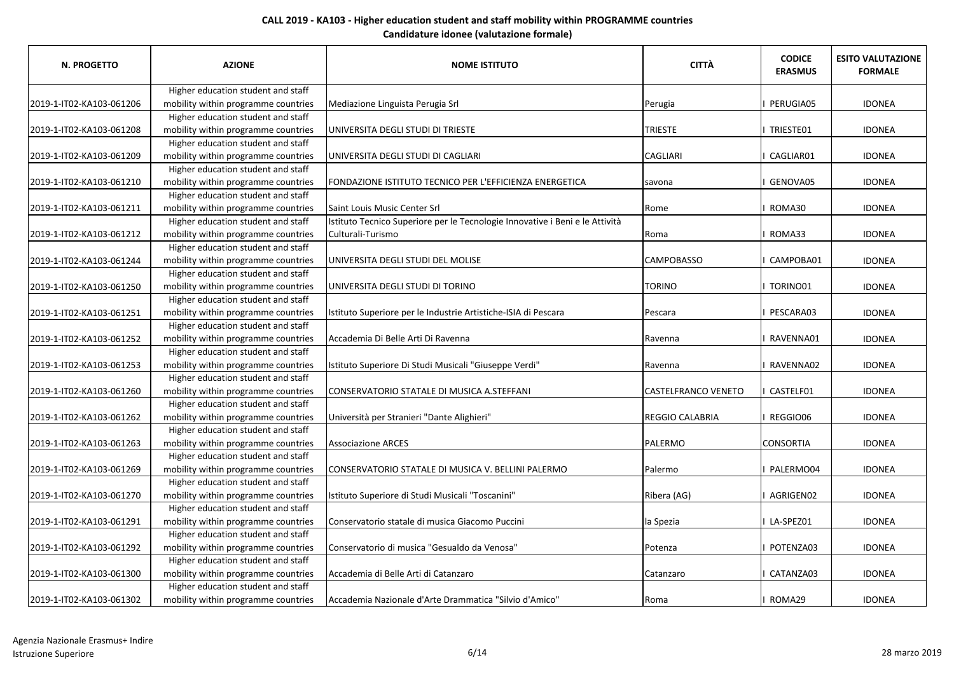| N. PROGETTO              | <b>AZIONE</b>                       | <b>NOME ISTITUTO</b>                                                         | <b>CITTÀ</b>               | <b>CODICE</b><br><b>ERASMUS</b> | <b>ESITO VALUTAZIONE</b><br><b>FORMALE</b> |
|--------------------------|-------------------------------------|------------------------------------------------------------------------------|----------------------------|---------------------------------|--------------------------------------------|
|                          | Higher education student and staff  |                                                                              |                            |                                 |                                            |
| 2019-1-IT02-KA103-061206 | mobility within programme countries | Mediazione Linguista Perugia Srl                                             | Perugia                    | <b>PERUGIA05</b>                | <b>IDONEA</b>                              |
|                          | Higher education student and staff  |                                                                              |                            |                                 |                                            |
| 2019-1-IT02-KA103-061208 | mobility within programme countries | UNIVERSITA DEGLI STUDI DI TRIESTE                                            | <b>TRIESTE</b>             | I TRIESTE01                     | <b>IDONEA</b>                              |
|                          | Higher education student and staff  |                                                                              |                            |                                 |                                            |
| 2019-1-IT02-KA103-061209 | mobility within programme countries | UNIVERSITA DEGLI STUDI DI CAGLIARI                                           | <b>CAGLIARI</b>            | CAGLIAR01                       | <b>IDONEA</b>                              |
|                          | Higher education student and staff  |                                                                              |                            |                                 |                                            |
| 2019-1-IT02-KA103-061210 | mobility within programme countries | FONDAZIONE ISTITUTO TECNICO PER L'EFFICIENZA ENERGETICA                      | savona                     | GENOVA05                        | <b>IDONEA</b>                              |
|                          | Higher education student and staff  |                                                                              |                            |                                 |                                            |
| 2019-1-IT02-KA103-061211 | mobility within programme countries | Saint Louis Music Center Srl                                                 | Rome                       | I ROMA30                        | <b>IDONEA</b>                              |
|                          | Higher education student and staff  | Istituto Tecnico Superiore per le Tecnologie Innovative i Beni e le Attività |                            |                                 |                                            |
| 2019-1-IT02-KA103-061212 | mobility within programme countries | Culturali-Turismo                                                            | Roma                       | ROMA33                          | <b>IDONEA</b>                              |
|                          | Higher education student and staff  |                                                                              |                            |                                 |                                            |
| 2019-1-IT02-KA103-061244 | mobility within programme countries | UNIVERSITA DEGLI STUDI DEL MOLISE                                            | <b>CAMPOBASSO</b>          | CAMPOBA01                       | <b>IDONEA</b>                              |
|                          | Higher education student and staff  |                                                                              |                            |                                 |                                            |
| 2019-1-IT02-KA103-061250 | mobility within programme countries | UNIVERSITA DEGLI STUDI DI TORINO                                             | <b>TORINO</b>              | I TORINO01                      | <b>IDONEA</b>                              |
|                          | Higher education student and staff  |                                                                              |                            |                                 |                                            |
| 2019-1-IT02-KA103-061251 | mobility within programme countries | Istituto Superiore per le Industrie Artistiche-ISIA di Pescara               | Pescara                    | I PESCARA03                     | <b>IDONEA</b>                              |
|                          | Higher education student and staff  |                                                                              |                            |                                 |                                            |
| 2019-1-IT02-KA103-061252 | mobility within programme countries | Accademia Di Belle Arti Di Ravenna                                           | Ravenna                    | RAVENNA01                       | <b>IDONEA</b>                              |
|                          | Higher education student and staff  |                                                                              |                            |                                 |                                            |
| 2019-1-IT02-KA103-061253 | mobility within programme countries | Istituto Superiore Di Studi Musicali "Giuseppe Verdi"                        | Ravenna                    | RAVENNA02                       | <b>IDONEA</b>                              |
|                          | Higher education student and staff  |                                                                              |                            |                                 |                                            |
| 2019-1-IT02-KA103-061260 | mobility within programme countries | CONSERVATORIO STATALE DI MUSICA A.STEFFANI                                   | <b>CASTELFRANCO VENETO</b> | I CASTELF01                     | <b>IDONEA</b>                              |
|                          | Higher education student and staff  |                                                                              |                            |                                 |                                            |
| 2019-1-IT02-KA103-061262 | mobility within programme countries | Università per Stranieri "Dante Alighieri"                                   | REGGIO CALABRIA            | I REGGIO06                      | <b>IDONEA</b>                              |
|                          | Higher education student and staff  |                                                                              |                            |                                 |                                            |
| 2019-1-IT02-KA103-061263 | mobility within programme countries | <b>Associazione ARCES</b>                                                    | PALERMO                    | <b>CONSORTIA</b>                | <b>IDONEA</b>                              |
|                          | Higher education student and staff  |                                                                              |                            |                                 |                                            |
| 2019-1-IT02-KA103-061269 | mobility within programme countries | CONSERVATORIO STATALE DI MUSICA V. BELLINI PALERMO                           | Palermo                    | I PALERMO04                     | <b>IDONEA</b>                              |
|                          | Higher education student and staff  |                                                                              |                            |                                 |                                            |
| 2019-1-IT02-KA103-061270 | mobility within programme countries | Istituto Superiore di Studi Musicali "Toscanini"                             | Ribera (AG)                | I AGRIGEN02                     | <b>IDONEA</b>                              |
|                          | Higher education student and staff  |                                                                              |                            |                                 |                                            |
| 2019-1-IT02-KA103-061291 | mobility within programme countries | Conservatorio statale di musica Giacomo Puccini                              | la Spezia                  | I LA-SPEZ01                     | <b>IDONEA</b>                              |
|                          | Higher education student and staff  |                                                                              |                            |                                 |                                            |
| 2019-1-IT02-KA103-061292 | mobility within programme countries | Conservatorio di musica "Gesualdo da Venosa"                                 | Potenza                    | I POTENZA03                     | <b>IDONEA</b>                              |
|                          | Higher education student and staff  |                                                                              |                            |                                 |                                            |
| 2019-1-IT02-KA103-061300 | mobility within programme countries | Accademia di Belle Arti di Catanzaro                                         | Catanzaro                  | CATANZA03                       | <b>IDONEA</b>                              |
|                          | Higher education student and staff  |                                                                              |                            |                                 |                                            |
| 2019-1-IT02-KA103-061302 | mobility within programme countries | Accademia Nazionale d'Arte Drammatica "Silvio d'Amico"                       | Roma                       | I ROMA29                        | <b>IDONEA</b>                              |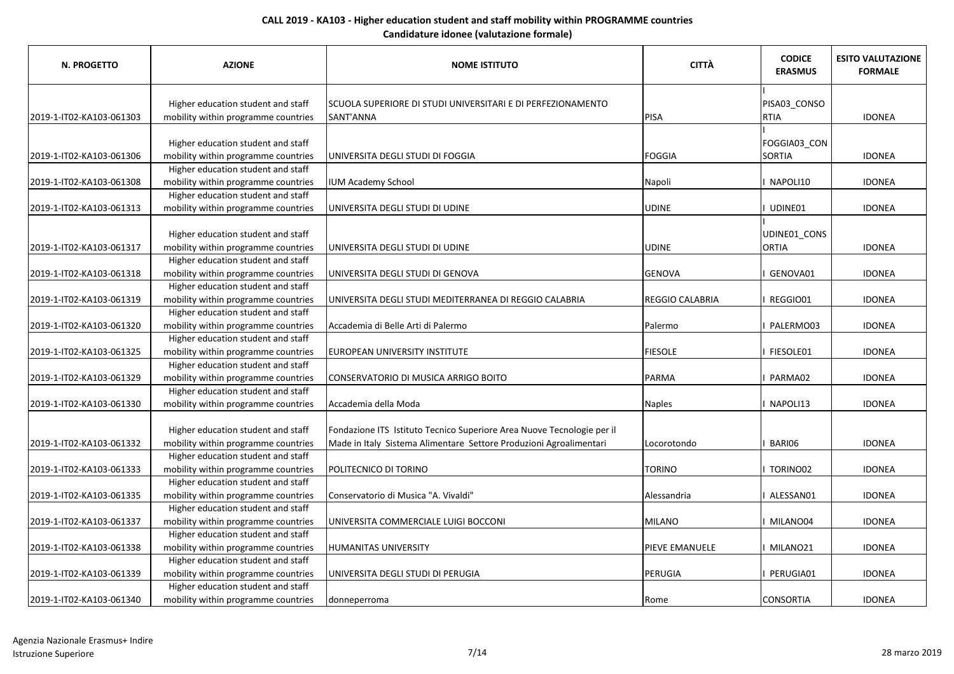| <b>N. PROGETTO</b>       | <b>AZIONE</b>                       | <b>NOME ISTITUTO</b>                                                   | <b>CITTÀ</b>           | <b>CODICE</b><br><b>ERASMUS</b> | <b>ESITO VALUTAZIONE</b><br><b>FORMALE</b> |
|--------------------------|-------------------------------------|------------------------------------------------------------------------|------------------------|---------------------------------|--------------------------------------------|
|                          |                                     |                                                                        |                        |                                 |                                            |
|                          | Higher education student and staff  | SCUOLA SUPERIORE DI STUDI UNIVERSITARI E DI PERFEZIONAMENTO            |                        | PISA03_CONSO                    |                                            |
| 2019-1-IT02-KA103-061303 | mobility within programme countries | SANT'ANNA                                                              | PISA                   | <b>RTIA</b>                     | <b>IDONEA</b>                              |
|                          |                                     |                                                                        |                        |                                 |                                            |
|                          | Higher education student and staff  |                                                                        |                        | FOGGIA03_CON                    |                                            |
| 2019-1-IT02-KA103-061306 | mobility within programme countries | UNIVERSITA DEGLI STUDI DI FOGGIA                                       | <b>FOGGIA</b>          | <b>SORTIA</b>                   | <b>IDONEA</b>                              |
|                          | Higher education student and staff  |                                                                        |                        |                                 |                                            |
| 2019-1-IT02-KA103-061308 | mobility within programme countries | <b>IUM Academy School</b>                                              | Napoli                 | NAPOLI10                        | <b>IDONEA</b>                              |
|                          | Higher education student and staff  |                                                                        |                        |                                 |                                            |
| 2019-1-IT02-KA103-061313 | mobility within programme countries | UNIVERSITA DEGLI STUDI DI UDINE                                        | <b>UDINE</b>           | UDINE01                         | <b>IDONEA</b>                              |
|                          |                                     |                                                                        |                        |                                 |                                            |
|                          | Higher education student and staff  |                                                                        |                        | UDINE01_CONS                    |                                            |
| 2019-1-IT02-KA103-061317 | mobility within programme countries | UNIVERSITA DEGLI STUDI DI UDINE                                        | <b>UDINE</b>           | <b>ORTIA</b>                    | <b>IDONEA</b>                              |
|                          | Higher education student and staff  |                                                                        |                        |                                 |                                            |
| 2019-1-IT02-KA103-061318 | mobility within programme countries | UNIVERSITA DEGLI STUDI DI GENOVA                                       | <b>GENOVA</b>          | GENOVA01                        | <b>IDONEA</b>                              |
|                          | Higher education student and staff  |                                                                        |                        |                                 |                                            |
| 2019-1-IT02-KA103-061319 | mobility within programme countries | UNIVERSITA DEGLI STUDI MEDITERRANEA DI REGGIO CALABRIA                 | <b>REGGIO CALABRIA</b> | REGGIO01                        | <b>IDONEA</b>                              |
|                          | Higher education student and staff  |                                                                        |                        |                                 |                                            |
| 2019-1-IT02-KA103-061320 | mobility within programme countries | Accademia di Belle Arti di Palermo                                     | Palermo                | PALERMO03                       | <b>IDONEA</b>                              |
|                          | Higher education student and staff  |                                                                        |                        |                                 |                                            |
| 2019-1-IT02-KA103-061325 | mobility within programme countries | EUROPEAN UNIVERSITY INSTITUTE                                          | <b>FIESOLE</b>         | I FIESOLE01                     | <b>IDONEA</b>                              |
|                          | Higher education student and staff  |                                                                        |                        |                                 |                                            |
| 2019-1-IT02-KA103-061329 | mobility within programme countries | CONSERVATORIO DI MUSICA ARRIGO BOITO                                   | PARMA                  | PARMA02                         | <b>IDONEA</b>                              |
|                          | Higher education student and staff  |                                                                        |                        |                                 |                                            |
| 2019-1-IT02-KA103-061330 | mobility within programme countries | Accademia della Moda                                                   | <b>Naples</b>          | I NAPOLI13                      | <b>IDONEA</b>                              |
|                          |                                     |                                                                        |                        |                                 |                                            |
|                          | Higher education student and staff  | Fondazione ITS Istituto Tecnico Superiore Area Nuove Tecnologie per il |                        |                                 |                                            |
| 2019-1-IT02-KA103-061332 | mobility within programme countries | Made in Italy Sistema Alimentare Settore Produzioni Agroalimentari     | Locorotondo            | BARI06                          | <b>IDONEA</b>                              |
|                          | Higher education student and staff  |                                                                        |                        |                                 |                                            |
| 2019-1-IT02-KA103-061333 | mobility within programme countries | POLITECNICO DI TORINO                                                  | <b>TORINO</b>          | I TORINO02                      | <b>IDONEA</b>                              |
|                          | Higher education student and staff  |                                                                        |                        |                                 |                                            |
| 2019-1-IT02-KA103-061335 | mobility within programme countries | Conservatorio di Musica "A. Vivaldi"                                   | Alessandria            | I ALESSAN01                     | <b>IDONEA</b>                              |
|                          | Higher education student and staff  |                                                                        |                        |                                 |                                            |
| 2019-1-IT02-KA103-061337 | mobility within programme countries | UNIVERSITA COMMERCIALE LUIGI BOCCONI                                   | MILANO                 | I MILANO04                      | <b>IDONEA</b>                              |
|                          | Higher education student and staff  |                                                                        |                        |                                 |                                            |
| 2019-1-IT02-KA103-061338 | mobility within programme countries | <b>HUMANITAS UNIVERSITY</b>                                            | PIEVE EMANUELE         | I MILANO21                      | <b>IDONEA</b>                              |
|                          | Higher education student and staff  |                                                                        |                        |                                 |                                            |
| 2019-1-IT02-KA103-061339 | mobility within programme countries | JUNIVERSITA DEGLI STUDI DI PERUGIA                                     | PERUGIA                | PERUGIA01                       | <b>IDONEA</b>                              |
|                          | Higher education student and staff  |                                                                        |                        |                                 |                                            |
| 2019-1-IT02-KA103-061340 | mobility within programme countries | donneperroma                                                           | Rome                   | <b>CONSORTIA</b>                | <b>IDONEA</b>                              |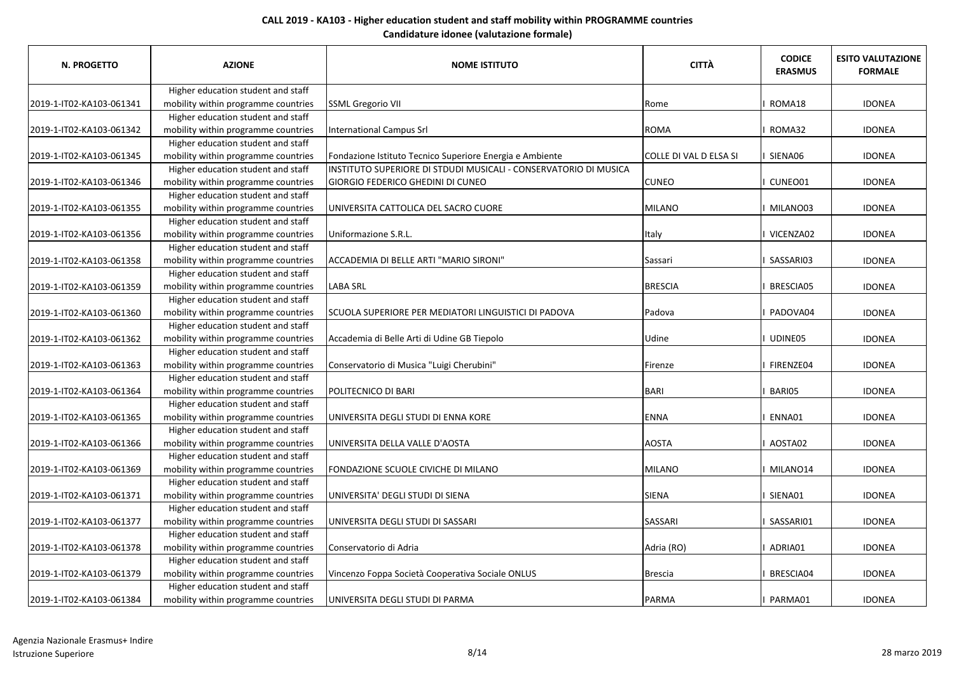| N. PROGETTO              | <b>AZIONE</b>                       | <b>NOME ISTITUTO</b>                                             | <b>CITTÀ</b>           | <b>CODICE</b><br><b>ERASMUS</b> | <b>ESITO VALUTAZIONE</b><br><b>FORMALE</b> |
|--------------------------|-------------------------------------|------------------------------------------------------------------|------------------------|---------------------------------|--------------------------------------------|
|                          | Higher education student and staff  |                                                                  |                        |                                 |                                            |
| 2019-1-IT02-KA103-061341 | mobility within programme countries | <b>SSML Gregorio VII</b>                                         | Rome                   | ROMA18                          | <b>IDONEA</b>                              |
|                          | Higher education student and staff  |                                                                  |                        |                                 |                                            |
| 2019-1-IT02-KA103-061342 | mobility within programme countries | <b>International Campus Srl</b>                                  | <b>ROMA</b>            | I ROMA32                        | <b>IDONEA</b>                              |
|                          | Higher education student and staff  |                                                                  |                        |                                 |                                            |
| 2019-1-IT02-KA103-061345 | mobility within programme countries | Fondazione Istituto Tecnico Superiore Energia e Ambiente         | COLLE DI VAL D ELSA SI | I SIENA06                       | <b>IDONEA</b>                              |
|                          | Higher education student and staff  | INSTITUTO SUPERIORE DI STDUDI MUSICALI - CONSERVATORIO DI MUSICA |                        |                                 |                                            |
| 2019-1-IT02-KA103-061346 | mobility within programme countries | <b>GIORGIO FEDERICO GHEDINI DI CUNEO</b>                         | <b>CUNEO</b>           | I CUNEO01                       | <b>IDONEA</b>                              |
|                          | Higher education student and staff  |                                                                  |                        |                                 |                                            |
| 2019-1-IT02-KA103-061355 | mobility within programme countries | UNIVERSITA CATTOLICA DEL SACRO CUORE                             | MILANO                 | I MILANO03                      | <b>IDONEA</b>                              |
|                          | Higher education student and staff  |                                                                  |                        |                                 |                                            |
| 2019-1-IT02-KA103-061356 | mobility within programme countries | Uniformazione S.R.L.                                             | <b>Italy</b>           | I VICENZA02                     | <b>IDONEA</b>                              |
|                          | Higher education student and staff  |                                                                  |                        |                                 |                                            |
| 2019-1-IT02-KA103-061358 | mobility within programme countries | ACCADEMIA DI BELLE ARTI "MARIO SIRONI"                           | Sassari                | I SASSARI03                     | <b>IDONEA</b>                              |
|                          | Higher education student and staff  |                                                                  |                        |                                 |                                            |
| 2019-1-IT02-KA103-061359 | mobility within programme countries | <b>LABA SRL</b>                                                  | <b>BRESCIA</b>         | <b>BRESCIA05</b>                | <b>IDONEA</b>                              |
|                          | Higher education student and staff  |                                                                  |                        |                                 |                                            |
| 2019-1-IT02-KA103-061360 | mobility within programme countries | SCUOLA SUPERIORE PER MEDIATORI LINGUISTICI DI PADOVA             | Padova                 | I PADOVA04                      | <b>IDONEA</b>                              |
|                          | Higher education student and staff  |                                                                  |                        |                                 |                                            |
| 2019-1-IT02-KA103-061362 | mobility within programme countries | Accademia di Belle Arti di Udine GB Tiepolo                      | Udine                  | I UDINE05                       | <b>IDONEA</b>                              |
|                          | Higher education student and staff  |                                                                  |                        |                                 |                                            |
| 2019-1-IT02-KA103-061363 | mobility within programme countries | Conservatorio di Musica "Luigi Cherubini"                        | Firenze                | I FIRENZE04                     | <b>IDONEA</b>                              |
|                          | Higher education student and staff  |                                                                  |                        |                                 |                                            |
| 2019-1-IT02-KA103-061364 | mobility within programme countries | POLITECNICO DI BARI                                              | BARI                   | BARI05                          | <b>IDONEA</b>                              |
|                          | Higher education student and staff  |                                                                  |                        |                                 |                                            |
| 2019-1-IT02-KA103-061365 | mobility within programme countries | UNIVERSITA DEGLI STUDI DI ENNA KORE                              | <b>ENNA</b>            | I ENNA01                        | <b>IDONEA</b>                              |
|                          | Higher education student and staff  |                                                                  |                        |                                 |                                            |
| 2019-1-IT02-KA103-061366 | mobility within programme countries | UNIVERSITA DELLA VALLE D'AOSTA                                   | <b>AOSTA</b>           | I AOSTA02                       | <b>IDONEA</b>                              |
|                          | Higher education student and staff  |                                                                  |                        |                                 |                                            |
| 2019-1-IT02-KA103-061369 | mobility within programme countries | FONDAZIONE SCUOLE CIVICHE DI MILANO                              | MILANO                 | I MILANO14                      | <b>IDONEA</b>                              |
|                          | Higher education student and staff  |                                                                  |                        |                                 |                                            |
| 2019-1-IT02-KA103-061371 | mobility within programme countries | UNIVERSITA' DEGLI STUDI DI SIENA                                 | <b>SIENA</b>           | I SIENA01                       | <b>IDONEA</b>                              |
|                          | Higher education student and staff  |                                                                  |                        |                                 |                                            |
| 2019-1-IT02-KA103-061377 | mobility within programme countries | UNIVERSITA DEGLI STUDI DI SASSARI                                | SASSARI                | I SASSARI01                     | <b>IDONEA</b>                              |
|                          | Higher education student and staff  |                                                                  |                        |                                 |                                            |
| 2019-1-IT02-KA103-061378 | mobility within programme countries | Conservatorio di Adria                                           | Adria (RO)             | I ADRIA01                       | <b>IDONEA</b>                              |
|                          | Higher education student and staff  |                                                                  |                        |                                 |                                            |
| 2019-1-IT02-KA103-061379 | mobility within programme countries | Vincenzo Foppa Società Cooperativa Sociale ONLUS                 | <b>Brescia</b>         | BRESCIA04                       | <b>IDONEA</b>                              |
|                          | Higher education student and staff  |                                                                  |                        |                                 |                                            |
| 2019-1-IT02-KA103-061384 | mobility within programme countries | UNIVERSITA DEGLI STUDI DI PARMA                                  | PARMA                  | PARMA01                         | <b>IDONEA</b>                              |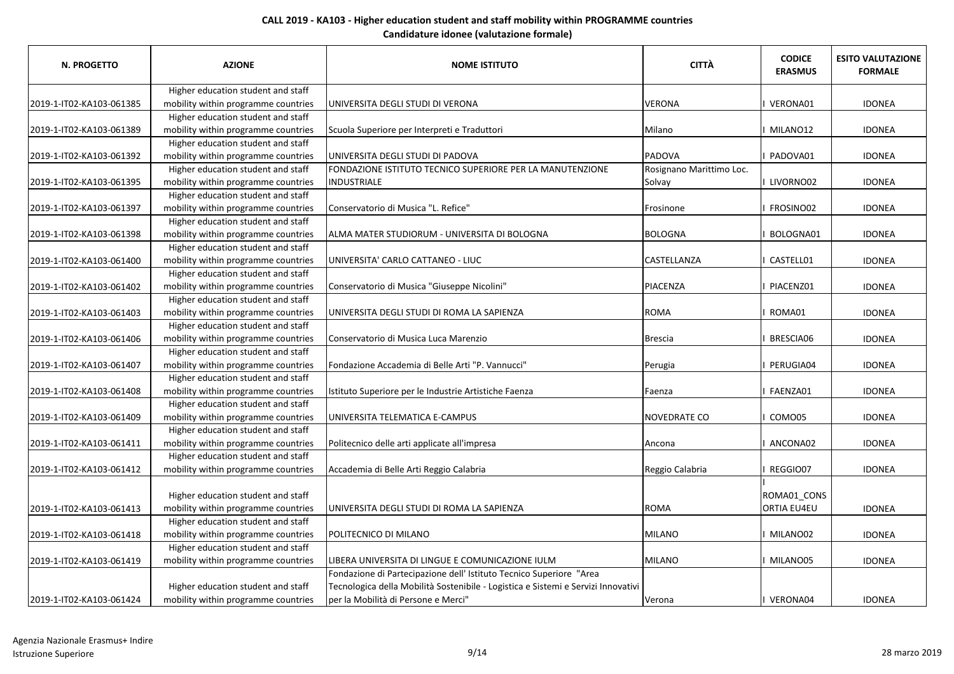| <b>N. PROGETTO</b>       | <b>AZIONE</b>                       | <b>NOME ISTITUTO</b>                                                              | <b>CITTÀ</b>             | <b>CODICE</b><br><b>ERASMUS</b> | <b>ESITO VALUTAZIONE</b><br><b>FORMALE</b> |
|--------------------------|-------------------------------------|-----------------------------------------------------------------------------------|--------------------------|---------------------------------|--------------------------------------------|
|                          | Higher education student and staff  |                                                                                   |                          |                                 |                                            |
| 2019-1-IT02-KA103-061385 | mobility within programme countries | UNIVERSITA DEGLI STUDI DI VERONA                                                  | <b>VERONA</b>            | VERONA01                        | <b>IDONEA</b>                              |
|                          | Higher education student and staff  |                                                                                   |                          |                                 |                                            |
| 2019-1-IT02-KA103-061389 | mobility within programme countries | Scuola Superiore per Interpreti e Traduttori                                      | Milano                   | MILANO12                        | <b>IDONEA</b>                              |
|                          | Higher education student and staff  |                                                                                   |                          |                                 |                                            |
| 2019-1-IT02-KA103-061392 | mobility within programme countries | UNIVERSITA DEGLI STUDI DI PADOVA                                                  | <b>PADOVA</b>            | PADOVA01                        | <b>IDONEA</b>                              |
|                          | Higher education student and staff  | FONDAZIONE ISTITUTO TECNICO SUPERIORE PER LA MANUTENZIONE                         | Rosignano Marittimo Loc. |                                 |                                            |
| 2019-1-IT02-KA103-061395 | mobility within programme countries | INDUSTRIALE                                                                       | Solvay                   | LIVORNO02                       | <b>IDONEA</b>                              |
|                          | Higher education student and staff  |                                                                                   |                          |                                 |                                            |
| 2019-1-IT02-KA103-061397 | mobility within programme countries | Conservatorio di Musica "L. Refice"                                               | Frosinone                | FROSINO02                       | <b>IDONEA</b>                              |
|                          | Higher education student and staff  |                                                                                   |                          |                                 |                                            |
| 2019-1-IT02-KA103-061398 | mobility within programme countries | ALMA MATER STUDIORUM - UNIVERSITA DI BOLOGNA                                      | <b>BOLOGNA</b>           | BOLOGNA01                       | <b>IDONEA</b>                              |
|                          | Higher education student and staff  |                                                                                   |                          |                                 |                                            |
| 2019-1-IT02-KA103-061400 | mobility within programme countries | UNIVERSITA' CARLO CATTANEO - LIUC                                                 | <b>CASTELLANZA</b>       | CASTELL01                       | <b>IDONEA</b>                              |
|                          | Higher education student and staff  |                                                                                   |                          |                                 |                                            |
| 2019-1-IT02-KA103-061402 | mobility within programme countries | Conservatorio di Musica "Giuseppe Nicolini"                                       | PIACENZA                 | PIACENZ01                       | <b>IDONEA</b>                              |
|                          | Higher education student and staff  |                                                                                   |                          |                                 |                                            |
| 2019-1-IT02-KA103-061403 | mobility within programme countries | UNIVERSITA DEGLI STUDI DI ROMA LA SAPIENZA                                        | <b>ROMA</b>              | ROMA01                          | <b>IDONEA</b>                              |
|                          | Higher education student and staff  |                                                                                   |                          |                                 |                                            |
| 2019-1-IT02-KA103-061406 | mobility within programme countries | Conservatorio di Musica Luca Marenzio                                             | <b>Brescia</b>           | BRESCIA06                       | <b>IDONEA</b>                              |
|                          | Higher education student and staff  |                                                                                   |                          |                                 |                                            |
| 2019-1-IT02-KA103-061407 | mobility within programme countries | Fondazione Accademia di Belle Arti "P. Vannucci"                                  | Perugia                  | PERUGIA04                       | <b>IDONEA</b>                              |
|                          | Higher education student and staff  |                                                                                   |                          |                                 |                                            |
| 2019-1-IT02-KA103-061408 | mobility within programme countries | Istituto Superiore per le Industrie Artistiche Faenza                             | Faenza                   | FAENZA01                        | <b>IDONEA</b>                              |
|                          | Higher education student and staff  |                                                                                   |                          |                                 |                                            |
| 2019-1-IT02-KA103-061409 | mobility within programme countries | UNIVERSITA TELEMATICA E-CAMPUS                                                    | <b>NOVEDRATE CO</b>      | COMO05                          | <b>IDONEA</b>                              |
|                          | Higher education student and staff  |                                                                                   |                          |                                 |                                            |
| 2019-1-IT02-KA103-061411 | mobility within programme countries | Politecnico delle arti applicate all'impresa                                      | Ancona                   | ANCONA02                        | <b>IDONEA</b>                              |
|                          | Higher education student and staff  |                                                                                   |                          |                                 |                                            |
| 2019-1-IT02-KA103-061412 | mobility within programme countries | Accademia di Belle Arti Reggio Calabria                                           | Reggio Calabria          | REGGIO07                        | <b>IDONEA</b>                              |
|                          |                                     |                                                                                   |                          |                                 |                                            |
|                          | Higher education student and staff  |                                                                                   |                          | ROMA01_CONS                     |                                            |
| 2019-1-IT02-KA103-061413 | mobility within programme countries | UNIVERSITA DEGLI STUDI DI ROMA LA SAPIENZA                                        | <b>ROMA</b>              | ORTIA EU4EU                     | <b>IDONEA</b>                              |
|                          | Higher education student and staff  |                                                                                   |                          |                                 |                                            |
| 2019-1-IT02-KA103-061418 | mobility within programme countries | POLITECNICO DI MILANO                                                             | <b>MILANO</b>            | MILANO02                        | <b>IDONEA</b>                              |
|                          | Higher education student and staff  |                                                                                   |                          |                                 |                                            |
| 2019-1-IT02-KA103-061419 | mobility within programme countries | LIBERA UNIVERSITA DI LINGUE E COMUNICAZIONE IULM                                  | <b>MILANO</b>            | MILANO05                        | <b>IDONEA</b>                              |
|                          |                                     | Fondazione di Partecipazione dell' Istituto Tecnico Superiore "Area               |                          |                                 |                                            |
|                          | Higher education student and staff  | Tecnologica della Mobilità Sostenibile - Logistica e Sistemi e Servizi Innovativi |                          |                                 |                                            |
| 2019-1-IT02-KA103-061424 | mobility within programme countries | per la Mobilità di Persone e Merci"                                               | Verona                   | VERONA04                        | <b>IDONEA</b>                              |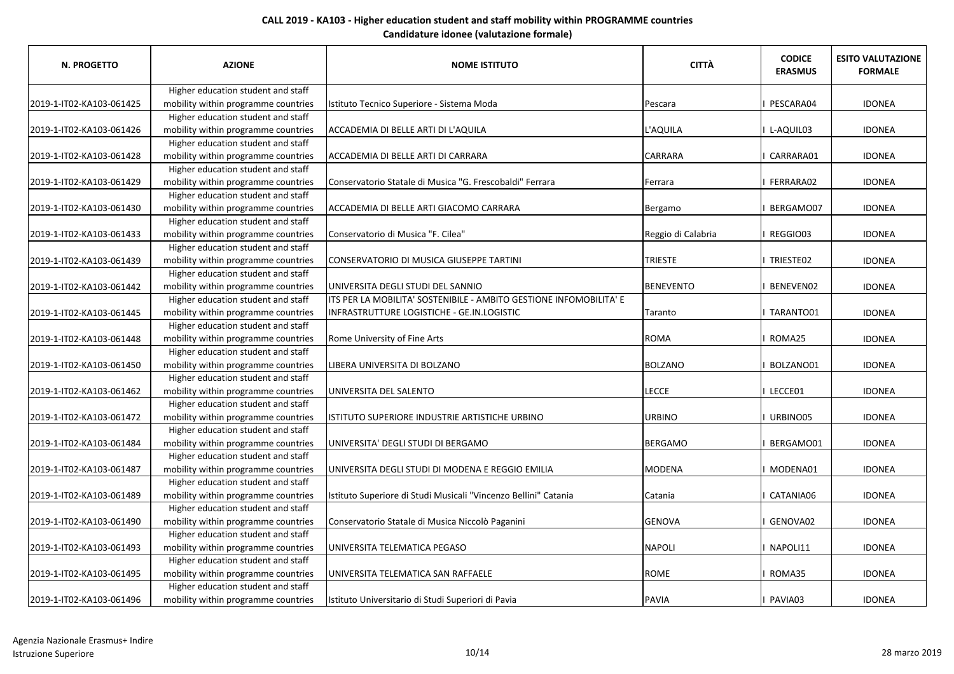| N. PROGETTO              | <b>AZIONE</b>                       | <b>NOME ISTITUTO</b>                                               | <b>CITTÀ</b>       | <b>CODICE</b><br><b>ERASMUS</b> | <b>ESITO VALUTAZIONE</b><br><b>FORMALE</b> |
|--------------------------|-------------------------------------|--------------------------------------------------------------------|--------------------|---------------------------------|--------------------------------------------|
|                          | Higher education student and staff  |                                                                    |                    |                                 |                                            |
| 2019-1-IT02-KA103-061425 | mobility within programme countries | Istituto Tecnico Superiore - Sistema Moda                          | Pescara            | PESCARA04                       | <b>IDONEA</b>                              |
|                          | Higher education student and staff  |                                                                    |                    |                                 |                                            |
| 2019-1-IT02-KA103-061426 | mobility within programme countries | ACCADEMIA DI BELLE ARTI DI L'AQUILA                                | L'AQUILA           | L-AQUIL03                       | <b>IDONEA</b>                              |
|                          | Higher education student and staff  |                                                                    |                    |                                 |                                            |
| 2019-1-IT02-KA103-061428 | mobility within programme countries | ACCADEMIA DI BELLE ARTI DI CARRARA                                 | <b>CARRARA</b>     | CARRARA01                       | <b>IDONEA</b>                              |
|                          | Higher education student and staff  |                                                                    |                    |                                 |                                            |
| 2019-1-IT02-KA103-061429 | mobility within programme countries | Conservatorio Statale di Musica "G. Frescobaldi" Ferrara           | <b>Ferrara</b>     | FERRARA02                       | <b>IDONEA</b>                              |
|                          | Higher education student and staff  |                                                                    |                    |                                 |                                            |
| 2019-1-IT02-KA103-061430 | mobility within programme countries | ACCADEMIA DI BELLE ARTI GIACOMO CARRARA                            | Bergamo            | BERGAMO07                       | <b>IDONEA</b>                              |
|                          | Higher education student and staff  |                                                                    |                    |                                 |                                            |
| 2019-1-IT02-KA103-061433 | mobility within programme countries | Conservatorio di Musica "F. Cilea"                                 | Reggio di Calabria | REGGIO03                        | <b>IDONEA</b>                              |
|                          | Higher education student and staff  |                                                                    |                    |                                 |                                            |
| 2019-1-IT02-KA103-061439 | mobility within programme countries | CONSERVATORIO DI MUSICA GIUSEPPE TARTINI                           | <b>TRIESTE</b>     | I TRIESTE02                     | <b>IDONEA</b>                              |
|                          | Higher education student and staff  |                                                                    |                    |                                 |                                            |
| 2019-1-IT02-KA103-061442 | mobility within programme countries | UNIVERSITA DEGLI STUDI DEL SANNIO                                  | BENEVENTO          | BENEVEN02                       | <b>IDONEA</b>                              |
|                          | Higher education student and staff  | ITS PER LA MOBILITA' SOSTENIBILE - AMBITO GESTIONE INFOMOBILITA' E |                    |                                 |                                            |
| 2019-1-IT02-KA103-061445 | mobility within programme countries | INFRASTRUTTURE LOGISTICHE - GE.IN.LOGISTIC                         | Taranto            | I TARANTO01                     | <b>IDONEA</b>                              |
|                          | Higher education student and staff  |                                                                    |                    |                                 |                                            |
| 2019-1-IT02-KA103-061448 | mobility within programme countries | Rome University of Fine Arts                                       | ROMA               | ROMA25                          | <b>IDONEA</b>                              |
|                          | Higher education student and staff  |                                                                    |                    |                                 |                                            |
| 2019-1-IT02-KA103-061450 | mobility within programme countries | LIBERA UNIVERSITA DI BOLZANO                                       | <b>BOLZANO</b>     | BOLZANO01                       | <b>IDONEA</b>                              |
|                          | Higher education student and staff  |                                                                    |                    |                                 |                                            |
| 2019-1-IT02-KA103-061462 | mobility within programme countries | UNIVERSITA DEL SALENTO                                             | <b>LECCE</b>       | LECCE01                         | <b>IDONEA</b>                              |
|                          | Higher education student and staff  |                                                                    |                    |                                 |                                            |
| 2019-1-IT02-KA103-061472 | mobility within programme countries | ISTITUTO SUPERIORE INDUSTRIE ARTISTICHE URBINO                     | <b>URBINO</b>      | URBINO05                        | <b>IDONEA</b>                              |
|                          | Higher education student and staff  |                                                                    |                    |                                 |                                            |
| 2019-1-IT02-KA103-061484 | mobility within programme countries | UNIVERSITA' DEGLI STUDI DI BERGAMO                                 | BERGAMO            | BERGAMO01                       | <b>IDONEA</b>                              |
|                          | Higher education student and staff  |                                                                    |                    |                                 |                                            |
| 2019-1-IT02-KA103-061487 | mobility within programme countries | UNIVERSITA DEGLI STUDI DI MODENA E REGGIO EMILIA                   | MODENA             | MODENA01                        | <b>IDONEA</b>                              |
|                          | Higher education student and staff  |                                                                    |                    |                                 |                                            |
| 2019-1-IT02-KA103-061489 | mobility within programme countries | Istituto Superiore di Studi Musicali "Vincenzo Bellini" Catania    | Catania            | CATANIA06                       | <b>IDONEA</b>                              |
|                          | Higher education student and staff  |                                                                    |                    |                                 |                                            |
| 2019-1-IT02-KA103-061490 | mobility within programme countries | Conservatorio Statale di Musica Niccolò Paganini                   | GENOVA             | GENOVA02                        | <b>IDONEA</b>                              |
|                          | Higher education student and staff  |                                                                    |                    |                                 |                                            |
| 2019-1-IT02-KA103-061493 | mobility within programme countries | UNIVERSITA TELEMATICA PEGASO                                       | <b>NAPOLI</b>      | NAPOLI11                        | <b>IDONEA</b>                              |
|                          | Higher education student and staff  |                                                                    |                    |                                 |                                            |
| 2019-1-IT02-KA103-061495 | mobility within programme countries | UNIVERSITA TELEMATICA SAN RAFFAELE                                 | ROME               | ROMA35                          | <b>IDONEA</b>                              |
|                          | Higher education student and staff  |                                                                    |                    |                                 |                                            |
| 2019-1-IT02-KA103-061496 | mobility within programme countries | Istituto Universitario di Studi Superiori di Pavia                 | PAVIA              | PAVIA03                         | <b>IDONEA</b>                              |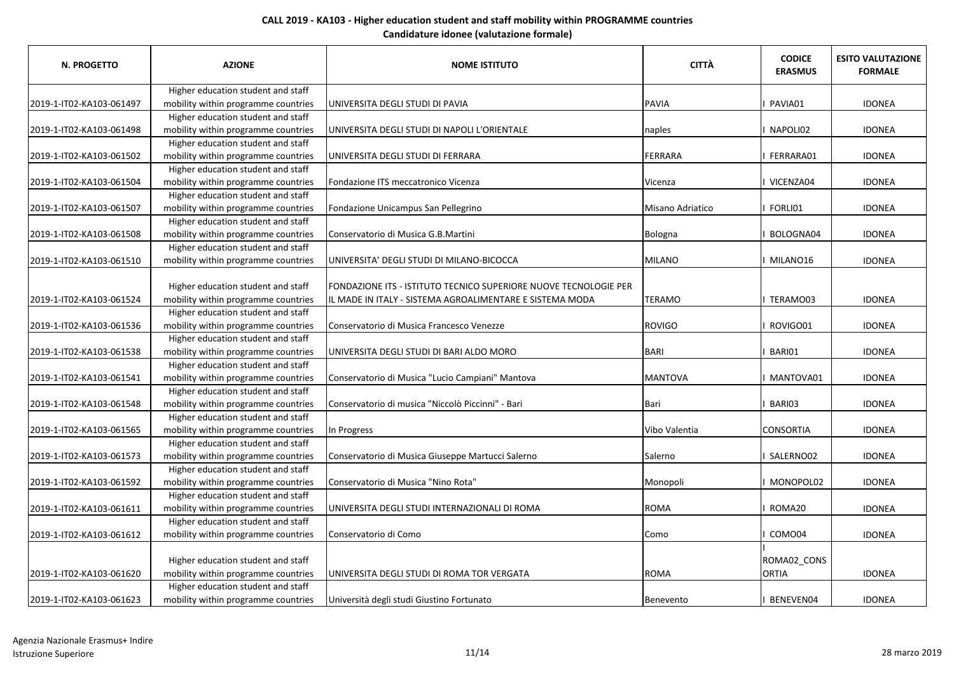| <b>N. PROGETTO</b>       | <b>AZIONE</b>                                                             | <b>NOME ISTITUTO</b>                                             | <b>CITTÀ</b>     | <b>CODICE</b><br><b>ERASMUS</b> | <b>ESITO VALUTAZIONE</b><br><b>FORMALE</b> |
|--------------------------|---------------------------------------------------------------------------|------------------------------------------------------------------|------------------|---------------------------------|--------------------------------------------|
|                          | Higher education student and staff                                        |                                                                  |                  |                                 |                                            |
| 2019-1-IT02-KA103-061497 | mobility within programme countries                                       | UNIVERSITA DEGLI STUDI DI PAVIA                                  | <b>PAVIA</b>     | PAVIA01                         | <b>IDONEA</b>                              |
|                          | Higher education student and staff                                        |                                                                  |                  |                                 |                                            |
| 2019-1-IT02-KA103-061498 | mobility within programme countries                                       | UNIVERSITA DEGLI STUDI DI NAPOLI L'ORIENTALE                     | naples           | NAPOLI02                        | <b>IDONEA</b>                              |
|                          | Higher education student and staff                                        |                                                                  |                  |                                 |                                            |
| 2019-1-IT02-KA103-061502 | mobility within programme countries                                       | UNIVERSITA DEGLI STUDI DI FERRARA                                | FERRARA          | FERRARA01                       | <b>IDONEA</b>                              |
|                          | Higher education student and staff                                        |                                                                  |                  |                                 |                                            |
| 2019-1-IT02-KA103-061504 | mobility within programme countries                                       | Fondazione ITS meccatronico Vicenza                              | Vicenza          | VICENZA04                       | <b>IDONEA</b>                              |
|                          | Higher education student and staff                                        |                                                                  |                  |                                 |                                            |
| 2019-1-IT02-KA103-061507 | mobility within programme countries                                       | Fondazione Unicampus San Pellegrino                              | Misano Adriatico | FORLI01                         | <b>IDONEA</b>                              |
|                          | Higher education student and staff                                        |                                                                  |                  |                                 |                                            |
| 2019-1-IT02-KA103-061508 | mobility within programme countries                                       | Conservatorio di Musica G.B.Martini                              | Bologna          | BOLOGNA04                       | <b>IDONEA</b>                              |
|                          | Higher education student and staff                                        |                                                                  |                  |                                 |                                            |
| 2019-1-IT02-KA103-061510 | mobility within programme countries                                       | UNIVERSITA' DEGLI STUDI DI MILANO-BICOCCA                        | <b>MILANO</b>    | MILANO16                        | <b>IDONEA</b>                              |
|                          | Higher education student and staff                                        | FONDAZIONE ITS - ISTITUTO TECNICO SUPERIORE NUOVE TECNOLOGIE PER |                  |                                 |                                            |
| 2019-1-IT02-KA103-061524 | mobility within programme countries                                       | IL MADE IN ITALY - SISTEMA AGROALIMENTARE E SISTEMA MODA         | <b>TERAMO</b>    | TERAMO03                        | <b>IDONEA</b>                              |
|                          | Higher education student and staff                                        |                                                                  |                  |                                 |                                            |
| 2019-1-IT02-KA103-061536 | mobility within programme countries                                       | Conservatorio di Musica Francesco Venezze                        | <b>ROVIGO</b>    | ROVIGO01                        | <b>IDONEA</b>                              |
|                          | Higher education student and staff                                        |                                                                  |                  |                                 |                                            |
| 2019-1-IT02-KA103-061538 | mobility within programme countries                                       | UNIVERSITA DEGLI STUDI DI BARI ALDO MORO                         | BARI             | BARI01                          | <b>IDONEA</b>                              |
|                          | Higher education student and staff                                        |                                                                  |                  |                                 |                                            |
| 2019-1-IT02-KA103-061541 | mobility within programme countries                                       | Conservatorio di Musica "Lucio Campiani" Mantova                 | <b>MANTOVA</b>   | MANTOVA01                       | <b>IDONEA</b>                              |
|                          | Higher education student and staff                                        |                                                                  |                  |                                 |                                            |
| 2019-1-IT02-KA103-061548 | mobility within programme countries                                       | Conservatorio di musica "Niccolò Piccinni" - Bari                | <b>Bari</b>      | BARI03                          | <b>IDONEA</b>                              |
|                          | Higher education student and staff                                        |                                                                  |                  |                                 |                                            |
| 2019-1-IT02-KA103-061565 | mobility within programme countries                                       | In Progress                                                      | Vibo Valentia    | <b>CONSORTIA</b>                | <b>IDONEA</b>                              |
|                          | Higher education student and staff                                        |                                                                  |                  |                                 |                                            |
| 2019-1-IT02-KA103-061573 | mobility within programme countries<br>Higher education student and staff | Conservatorio di Musica Giuseppe Martucci Salerno                | Salerno          | I SALERNO02                     | <b>IDONEA</b>                              |
|                          |                                                                           | Conservatorio di Musica "Nino Rota"                              |                  | MONOPOL02                       | <b>IDONEA</b>                              |
| 2019-1-IT02-KA103-061592 | mobility within programme countries<br>Higher education student and staff |                                                                  | Monopoli         |                                 |                                            |
| 2019-1-IT02-KA103-061611 | mobility within programme countries                                       | UNIVERSITA DEGLI STUDI INTERNAZIONALI DI ROMA                    | <b>ROMA</b>      | ROMA20                          | <b>IDONEA</b>                              |
|                          | Higher education student and staff                                        |                                                                  |                  |                                 |                                            |
| 2019-1-IT02-KA103-061612 | mobility within programme countries                                       | Conservatorio di Como                                            | Como             | COMO04                          | <b>IDONEA</b>                              |
|                          |                                                                           |                                                                  |                  |                                 |                                            |
|                          | Higher education student and staff                                        |                                                                  |                  | ROMA02_CONS                     |                                            |
| 2019-1-IT02-KA103-061620 | mobility within programme countries                                       | UNIVERSITA DEGLI STUDI DI ROMA TOR VERGATA                       | <b>ROMA</b>      | <b>ORTIA</b>                    | <b>IDONEA</b>                              |
|                          | Higher education student and staff                                        |                                                                  |                  |                                 |                                            |
| 2019-1-IT02-KA103-061623 | mobility within programme countries                                       | Università degli studi Giustino Fortunato                        | Benevento        | BENEVEN04                       | <b>IDONEA</b>                              |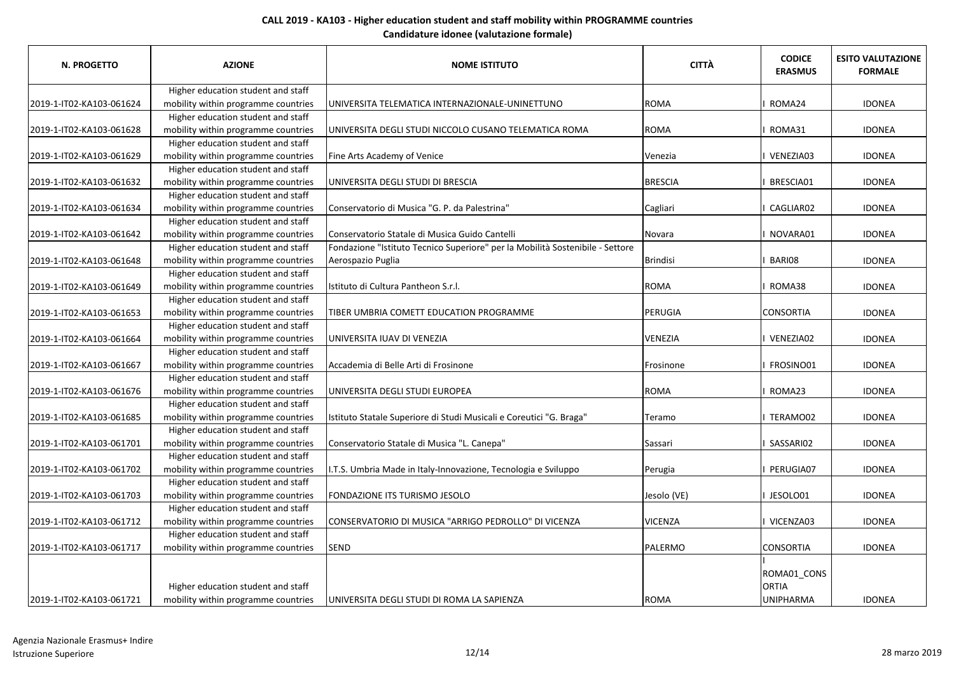| <b>N. PROGETTO</b>       | <b>AZIONE</b>                       | <b>NOME ISTITUTO</b>                                                          | <b>CITTÀ</b>   | <b>CODICE</b><br><b>ERASMUS</b> | <b>ESITO VALUTAZIONE</b><br><b>FORMALE</b> |
|--------------------------|-------------------------------------|-------------------------------------------------------------------------------|----------------|---------------------------------|--------------------------------------------|
|                          | Higher education student and staff  |                                                                               |                |                                 |                                            |
| 2019-1-IT02-KA103-061624 | mobility within programme countries | UNIVERSITA TELEMATICA INTERNAZIONALE-UNINETTUNO                               | <b>ROMA</b>    | ROMA24                          | <b>IDONEA</b>                              |
|                          | Higher education student and staff  |                                                                               |                |                                 |                                            |
| 2019-1-IT02-KA103-061628 | mobility within programme countries | UNIVERSITA DEGLI STUDI NICCOLO CUSANO TELEMATICA ROMA                         | <b>ROMA</b>    | ROMA31                          | <b>IDONEA</b>                              |
|                          | Higher education student and staff  |                                                                               |                |                                 |                                            |
| 2019-1-IT02-KA103-061629 | mobility within programme countries | Fine Arts Academy of Venice                                                   | Venezia        | VENEZIA03                       | <b>IDONEA</b>                              |
|                          | Higher education student and staff  |                                                                               |                |                                 |                                            |
| 2019-1-IT02-KA103-061632 | mobility within programme countries | UNIVERSITA DEGLI STUDI DI BRESCIA                                             | <b>BRESCIA</b> | BRESCIA01                       | <b>IDONEA</b>                              |
|                          | Higher education student and staff  |                                                                               |                |                                 |                                            |
| 2019-1-IT02-KA103-061634 | mobility within programme countries | Conservatorio di Musica "G. P. da Palestrina"                                 | Cagliari       | CAGLIAR02                       | <b>IDONEA</b>                              |
|                          | Higher education student and staff  |                                                                               |                |                                 |                                            |
| 2019-1-IT02-KA103-061642 | mobility within programme countries | Conservatorio Statale di Musica Guido Cantelli                                | Novara         | NOVARA01                        | <b>IDONEA</b>                              |
|                          | Higher education student and staff  | Fondazione "Istituto Tecnico Superiore" per la Mobilità Sostenibile - Settore |                |                                 |                                            |
| 2019-1-IT02-KA103-061648 | mobility within programme countries | Aerospazio Puglia                                                             | Brindisi       | BARI08                          | <b>IDONEA</b>                              |
|                          | Higher education student and staff  |                                                                               |                |                                 |                                            |
| 2019-1-IT02-KA103-061649 | mobility within programme countries | Istituto di Cultura Pantheon S.r.l.                                           | <b>ROMA</b>    | ROMA38                          | <b>IDONEA</b>                              |
|                          | Higher education student and staff  |                                                                               |                |                                 |                                            |
| 2019-1-IT02-KA103-061653 | mobility within programme countries | TIBER UMBRIA COMETT EDUCATION PROGRAMME                                       | PERUGIA        | <b>CONSORTIA</b>                | <b>IDONEA</b>                              |
|                          | Higher education student and staff  |                                                                               |                |                                 |                                            |
| 2019-1-IT02-KA103-061664 | mobility within programme countries | UNIVERSITA IUAV DI VENEZIA                                                    | <b>VENEZIA</b> | VENEZIA02                       | <b>IDONEA</b>                              |
|                          | Higher education student and staff  |                                                                               |                |                                 |                                            |
| 2019-1-IT02-KA103-061667 | mobility within programme countries | Accademia di Belle Arti di Frosinone                                          | Frosinone      | FROSINO01                       | <b>IDONEA</b>                              |
|                          | Higher education student and staff  |                                                                               |                |                                 |                                            |
| 2019-1-IT02-KA103-061676 | mobility within programme countries | UNIVERSITA DEGLI STUDI EUROPEA                                                | <b>ROMA</b>    | ROMA23                          | <b>IDONEA</b>                              |
|                          | Higher education student and staff  |                                                                               |                |                                 |                                            |
| 2019-1-IT02-KA103-061685 | mobility within programme countries | Istituto Statale Superiore di Studi Musicali e Coreutici "G. Braga"           | Teramo         | I TERAMO02                      | <b>IDONEA</b>                              |
|                          | Higher education student and staff  |                                                                               |                |                                 |                                            |
| 2019-1-IT02-KA103-061701 | mobility within programme countries | Conservatorio Statale di Musica "L. Canepa"                                   | Sassari        | SASSARI02                       | <b>IDONEA</b>                              |
|                          | Higher education student and staff  |                                                                               |                |                                 |                                            |
| 2019-1-IT02-KA103-061702 | mobility within programme countries | I.T.S. Umbria Made in Italy-Innovazione, Tecnologia e Sviluppo                | Perugia        | PERUGIA07                       | <b>IDONEA</b>                              |
|                          | Higher education student and staff  |                                                                               |                |                                 |                                            |
| 2019-1-IT02-KA103-061703 | mobility within programme countries | FONDAZIONE ITS TURISMO JESOLO                                                 | Jesolo (VE)    | I JESOLO01                      | <b>IDONEA</b>                              |
|                          | Higher education student and staff  |                                                                               |                |                                 |                                            |
| 2019-1-IT02-KA103-061712 | mobility within programme countries | CONSERVATORIO DI MUSICA "ARRIGO PEDROLLO" DI VICENZA                          | <b>VICENZA</b> | VICENZA03                       | <b>IDONEA</b>                              |
|                          | Higher education student and staff  |                                                                               |                |                                 |                                            |
| 2019-1-IT02-KA103-061717 | mobility within programme countries | <b>SEND</b>                                                                   | PALERMO        | <b>CONSORTIA</b>                | <b>IDONEA</b>                              |
|                          | Higher education student and staff  |                                                                               |                | ROMA01_CONS<br><b>ORTIA</b>     |                                            |
| 2019-1-IT02-KA103-061721 | mobility within programme countries | UNIVERSITA DEGLI STUDI DI ROMA LA SAPIENZA                                    | <b>ROMA</b>    | <b>UNIPHARMA</b>                | <b>IDONEA</b>                              |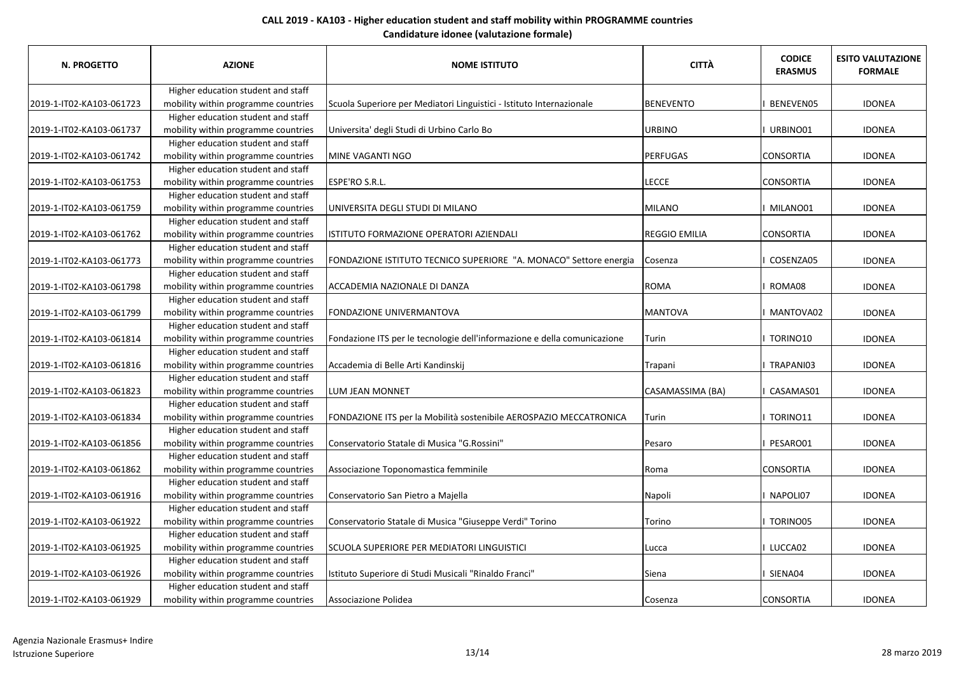| <b>N. PROGETTO</b>        | <b>AZIONE</b>                       | <b>NOME ISTITUTO</b>                                                     | <b>CITTÀ</b>         | <b>CODICE</b><br><b>ERASMUS</b> | <b>ESITO VALUTAZIONE</b><br><b>FORMALE</b> |
|---------------------------|-------------------------------------|--------------------------------------------------------------------------|----------------------|---------------------------------|--------------------------------------------|
|                           | Higher education student and staff  |                                                                          |                      |                                 |                                            |
| 2019-1-IT02-KA103-061723  | mobility within programme countries | Scuola Superiore per Mediatori Linguistici - Istituto Internazionale     | <b>BENEVENTO</b>     | BENEVEN05                       | <b>IDONEA</b>                              |
|                           | Higher education student and staff  |                                                                          |                      |                                 |                                            |
| 2019-1-IT02-KA103-061737  | mobility within programme countries | Universita' degli Studi di Urbino Carlo Bo                               | <b>URBINO</b>        | URBINO01                        | <b>IDONEA</b>                              |
|                           | Higher education student and staff  |                                                                          |                      |                                 |                                            |
| 2019-1-IT02-KA103-061742  | mobility within programme countries | MINE VAGANTI NGO                                                         | <b>PERFUGAS</b>      | <b>CONSORTIA</b>                | <b>IDONEA</b>                              |
|                           | Higher education student and staff  |                                                                          |                      |                                 |                                            |
| l2019-1-IT02-KA103-061753 | mobility within programme countries | ESPE'RO S.R.L.                                                           | <b>LECCE</b>         | <b>CONSORTIA</b>                | <b>IDONEA</b>                              |
|                           | Higher education student and staff  |                                                                          |                      |                                 |                                            |
| 2019-1-IT02-KA103-061759  | mobility within programme countries | UNIVERSITA DEGLI STUDI DI MILANO                                         | <b>MILANO</b>        | MILANO01                        | <b>IDONEA</b>                              |
|                           | Higher education student and staff  |                                                                          |                      |                                 |                                            |
| 2019-1-IT02-KA103-061762  | mobility within programme countries | ISTITUTO FORMAZIONE OPERATORI AZIENDALI                                  | <b>REGGIO EMILIA</b> | <b>CONSORTIA</b>                | <b>IDONEA</b>                              |
|                           | Higher education student and staff  |                                                                          |                      |                                 |                                            |
| 2019-1-IT02-KA103-061773  | mobility within programme countries | FONDAZIONE ISTITUTO TECNICO SUPERIORE "A. MONACO" Settore energia        | Cosenza              | COSENZA05                       | <b>IDONEA</b>                              |
|                           | Higher education student and staff  |                                                                          |                      |                                 |                                            |
| 2019-1-IT02-KA103-061798  | mobility within programme countries | <b>ACCADEMIA NAZIONALE DI DANZA</b>                                      | <b>ROMA</b>          | ROMA08                          | <b>IDONEA</b>                              |
|                           | Higher education student and staff  |                                                                          |                      |                                 |                                            |
| 2019-1-IT02-KA103-061799  | mobility within programme countries | <b>FONDAZIONE UNIVERMANTOVA</b>                                          | <b>MANTOVA</b>       | MANTOVA02                       | <b>IDONEA</b>                              |
|                           | Higher education student and staff  |                                                                          |                      |                                 |                                            |
| 2019-1-IT02-KA103-061814  | mobility within programme countries | Fondazione ITS per le tecnologie dell'informazione e della comunicazione | Turin                | TORINO10                        | <b>IDONEA</b>                              |
|                           | Higher education student and staff  |                                                                          |                      |                                 |                                            |
| 2019-1-IT02-KA103-061816  | mobility within programme countries | Accademia di Belle Arti Kandinskij                                       | Trapani              | I TRAPANI03                     | <b>IDONEA</b>                              |
|                           | Higher education student and staff  |                                                                          |                      |                                 |                                            |
| 2019-1-IT02-KA103-061823  | mobility within programme countries | LUM JEAN MONNET                                                          | CASAMASSIMA (BA)     | CASAMAS01                       | <b>IDONEA</b>                              |
|                           | Higher education student and staff  |                                                                          |                      |                                 |                                            |
| 2019-1-IT02-KA103-061834  | mobility within programme countries | FONDAZIONE ITS per la Mobilità sostenibile AEROSPAZIO MECCATRONICA       | Turin                | I TORINO11                      | <b>IDONEA</b>                              |
|                           | Higher education student and staff  |                                                                          |                      |                                 |                                            |
| 2019-1-IT02-KA103-061856  | mobility within programme countries | Conservatorio Statale di Musica "G.Rossini"                              | Pesaro               | PESARO01                        | <b>IDONEA</b>                              |
|                           | Higher education student and staff  |                                                                          |                      |                                 |                                            |
| 2019-1-IT02-KA103-061862  | mobility within programme countries | Associazione Toponomastica femminile                                     | Roma                 | <b>CONSORTIA</b>                | <b>IDONEA</b>                              |
|                           | Higher education student and staff  |                                                                          |                      |                                 |                                            |
| 2019-1-IT02-KA103-061916  | mobility within programme countries | Conservatorio San Pietro a Majella                                       | Napoli               | NAPOLI07                        | <b>IDONEA</b>                              |
|                           | Higher education student and staff  |                                                                          |                      |                                 |                                            |
| 2019-1-IT02-KA103-061922  | mobility within programme countries | Conservatorio Statale di Musica "Giuseppe Verdi" Torino                  | Torino               | I TORINO05                      | <b>IDONEA</b>                              |
|                           | Higher education student and staff  |                                                                          |                      |                                 |                                            |
| 2019-1-IT02-KA103-061925  | mobility within programme countries | SCUOLA SUPERIORE PER MEDIATORI LINGUISTICI                               | Lucca                | I LUCCA02                       | <b>IDONEA</b>                              |
|                           | Higher education student and staff  |                                                                          |                      |                                 |                                            |
| 2019-1-IT02-KA103-061926  | mobility within programme countries | Istituto Superiore di Studi Musicali "Rinaldo Franci"                    | Siena                | I SIENA04                       | <b>IDONEA</b>                              |
|                           | Higher education student and staff  |                                                                          |                      |                                 |                                            |
| 2019-1-IT02-KA103-061929  | mobility within programme countries | Associazione Polidea                                                     | Cosenza              | <b>CONSORTIA</b>                | <b>IDONEA</b>                              |